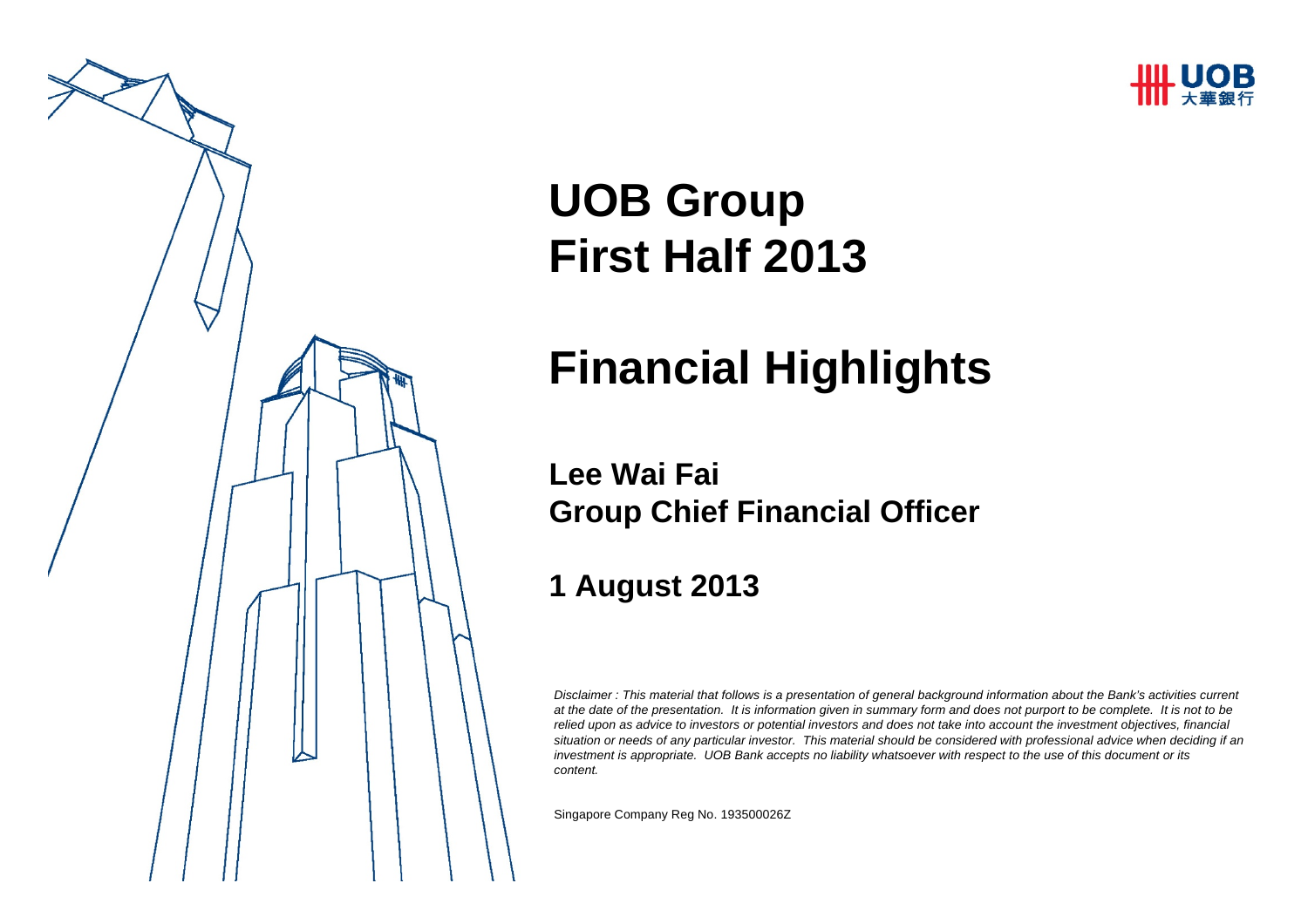



# **UOB Group First Half 2013**

# **Financial Highlights**

#### **Lee Wai FaiGroup Chief Financial Officer**

#### **1 August 2013**

*Disclaimer : This material that follows is a presentation of general background information about the Bank's activities current at the date of the presentation. It is information given in summary form and does not purport to be complete. It is not to be relied upon as advice to investors or potential investors and does not take into account the investment objectives, financial situation or needs of any particular investor. This material should be considered with professional advice when deciding if an investment is appropriate. UOB Bank accepts no liability whatsoever with respect to the use of this document or its content.*

Singapore Company Reg No. 193500026Z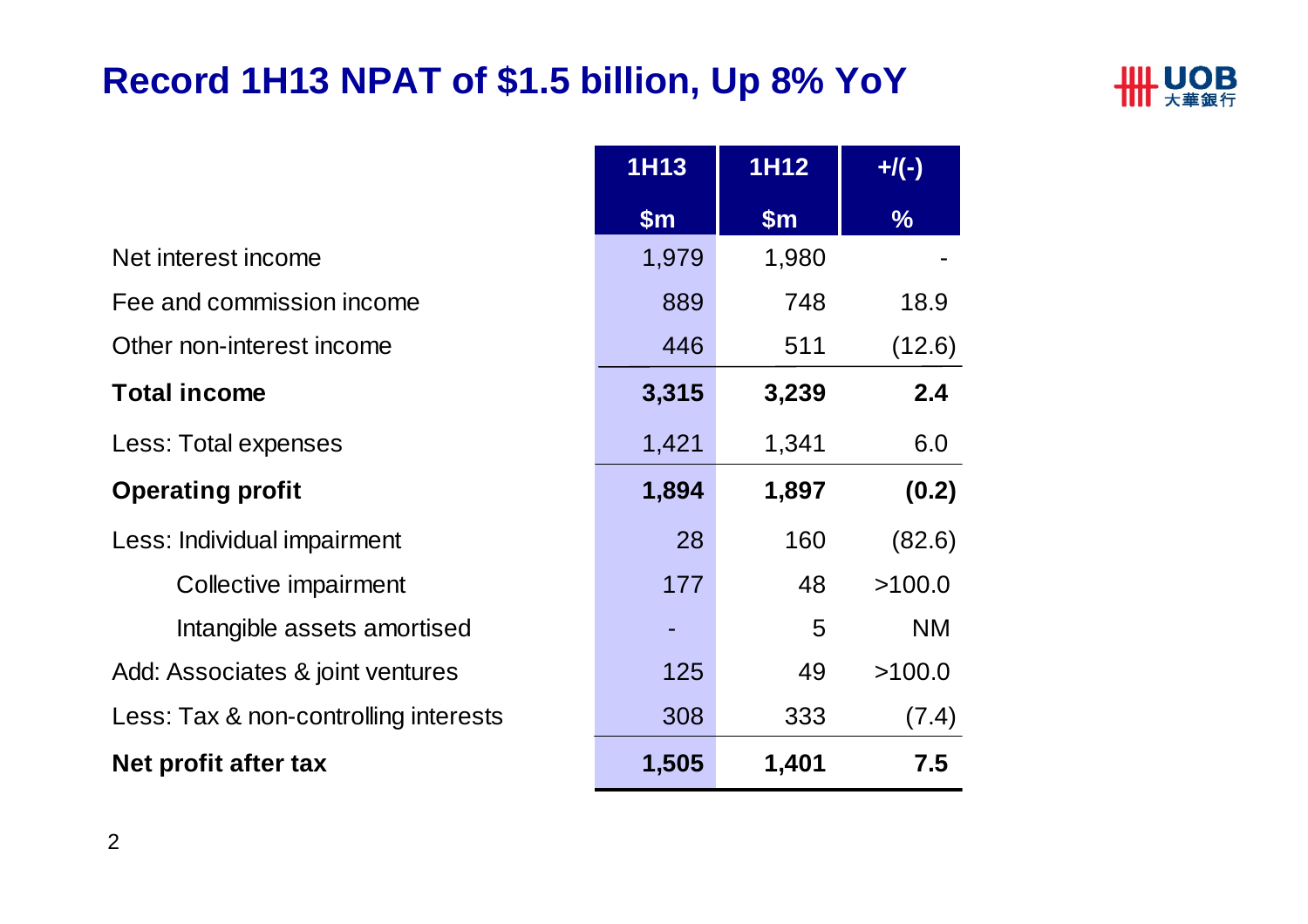## **Record 1H13 NPAT of \$1.5 billion, Up 8% YoY**



|                                       | <b>1H13</b>   | <b>1H12</b>   | $+$ /(-)      |
|---------------------------------------|---------------|---------------|---------------|
|                                       | $\mathsf{Sm}$ | $\mathsf{Sm}$ | $\frac{9}{6}$ |
| Net interest income                   | 1,979         | 1,980         |               |
| Fee and commission income             | 889           | 748           | 18.9          |
| Other non-interest income             | 446           | 511           | (12.6)        |
| <b>Total income</b>                   | 3,315         | 3,239         | 2.4           |
| Less: Total expenses                  | 1,421         | 1,341         | 6.0           |
| <b>Operating profit</b>               | 1,894         | 1,897         | (0.2)         |
| Less: Individual impairment           | 28            | 160           | (82.6)        |
| Collective impairment                 | 177           | 48            | >100.0        |
| Intangible assets amortised           |               | 5             | <b>NM</b>     |
| Add: Associates & joint ventures      | 125           | 49            | >100.0        |
| Less: Tax & non-controlling interests | 308           | 333           | (7.4)         |
| Net profit after tax                  | 1,505         | 1,401         | 7.5           |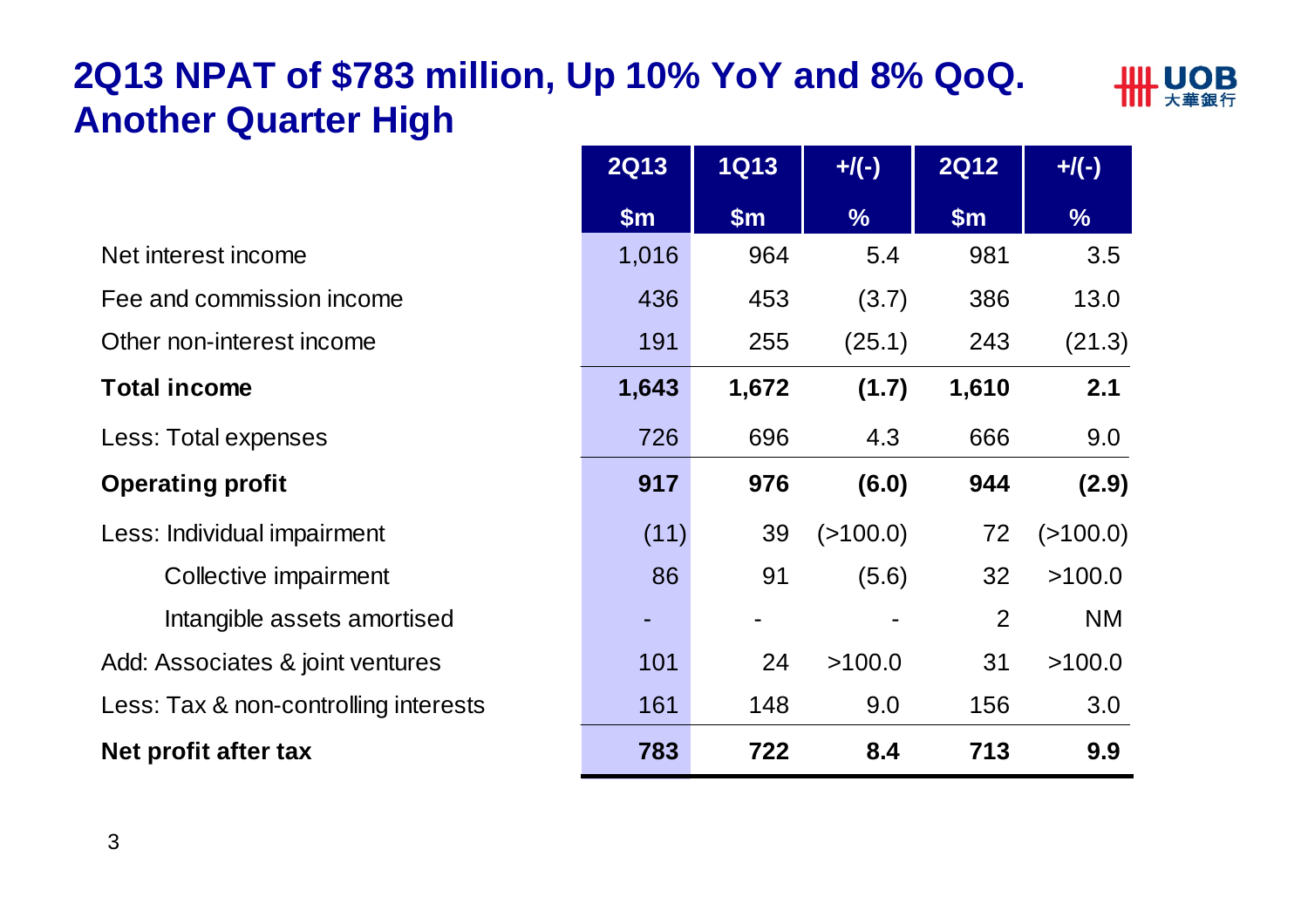# **2Q13 NPAT of \$783 million, Up 10% YoY and 8% QoQ. Another Quarter High**



|                                       | <b>2Q13</b>   | <b>1Q13</b>   | $+$ /(-)      | <b>2Q12</b> | $+$ /(-)      |
|---------------------------------------|---------------|---------------|---------------|-------------|---------------|
|                                       | $\mathsf{Sm}$ | $\mathsf{Sm}$ | $\frac{0}{6}$ | \$m\$       | $\frac{9}{6}$ |
| Net interest income                   | 1,016         | 964           | 5.4           | 981         | 3.5           |
| Fee and commission income             | 436           | 453           | (3.7)         | 386         | 13.0          |
| Other non-interest income             | 191           | 255           | (25.1)        | 243         | (21.3)        |
| <b>Total income</b>                   | 1,643         | 1,672         | (1.7)         | 1,610       | 2.1           |
| Less: Total expenses                  | 726           | 696           | 4.3           | 666         | 9.0           |
| <b>Operating profit</b>               | 917           | 976           | (6.0)         | 944         | (2.9)         |
| Less: Individual impairment           | (11)          | 39            | (>100.0)      | 72          | ( > 100.0)    |
| Collective impairment                 | 86            | 91            | (5.6)         | 32          | >100.0        |
| Intangible assets amortised           |               |               |               | 2           | <b>NM</b>     |
| Add: Associates & joint ventures      | 101           | 24            | >100.0        | 31          | >100.0        |
| Less: Tax & non-controlling interests | 161           | 148           | 9.0           | 156         | 3.0           |
| Net profit after tax                  | 783           | 722           | 8.4           | 713         | 9.9           |

| <b>2Q13</b> | <b>1Q13</b> | $+$ /(-)      | <b>2Q12</b>    | $+$ /(-)      |
|-------------|-------------|---------------|----------------|---------------|
| \$m         | \$m         | $\frac{0}{0}$ | \$m            | $\frac{0}{0}$ |
| 1,016       | 964         | 5.4           | 981            | 3.5           |
| 436         | 453         | (3.7)         | 386            | 13.0          |
| 191         | 255         | (25.1)        | 243            | (21.3)        |
| 1,643       | 1,672       | (1.7)         | 1,610          | 2.1           |
| 726         | 696         | 4.3           | 666            | 9.0           |
| 917         | 976         | (6.0)         | 944            | (2.9)         |
| (11)        | 39          | (>100.0)      | 72             | (>100.0)      |
| 86          | 91          | (5.6)         | 32             | >100.0        |
|             |             |               | $\overline{2}$ | <b>NM</b>     |
| 101         | 24          | >100.0        | 31             | >100.0        |
| 161         | 148         | 9.0           | 156            | 3.0           |
| 783         | 722         | 8.4           | 713            | 9.9           |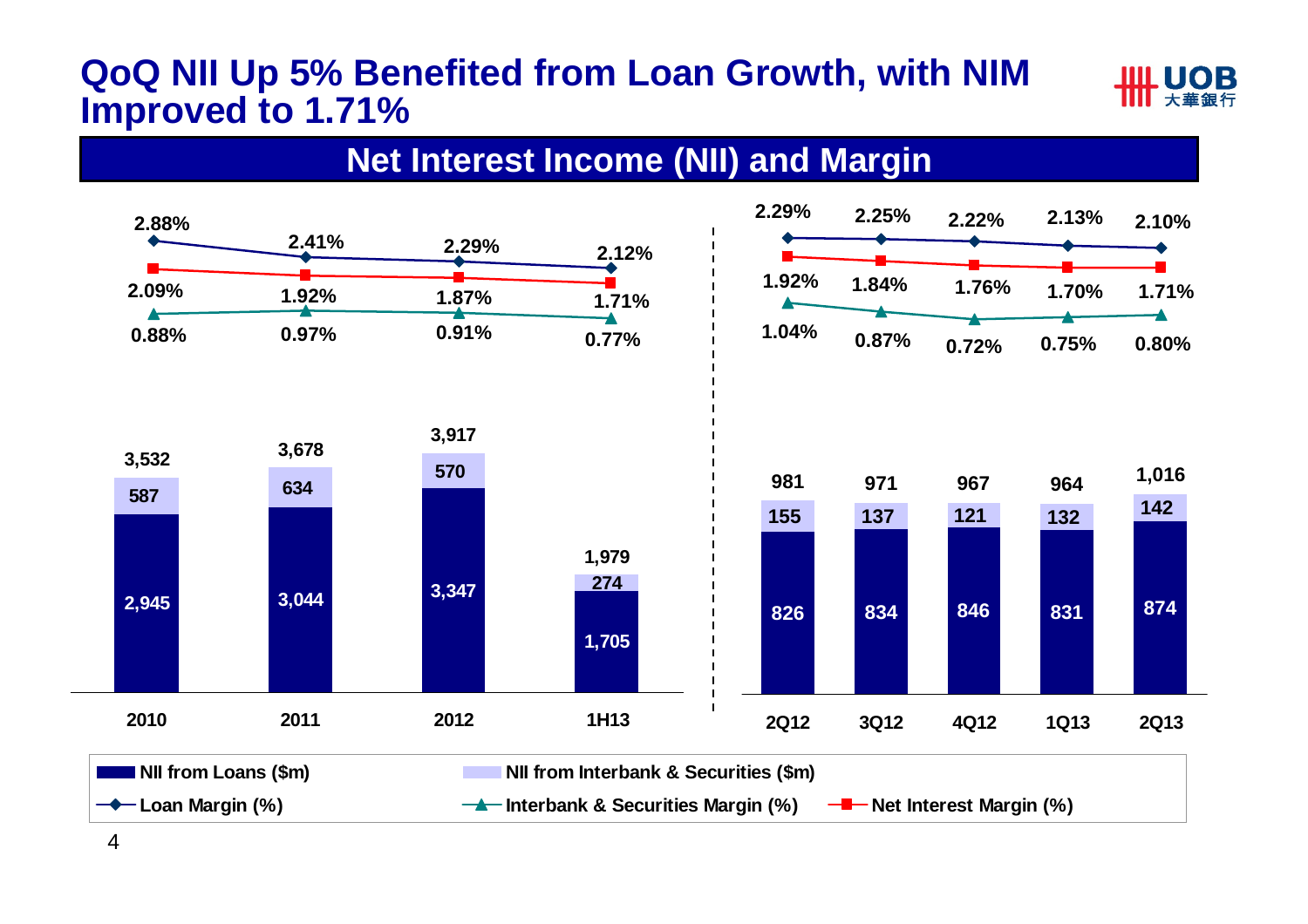#### **QoQ NII Up 5% Benefited from Loan Growth, with NIM Improved to 1.71%**



#### **Net Interest Income (NII) and Margin**

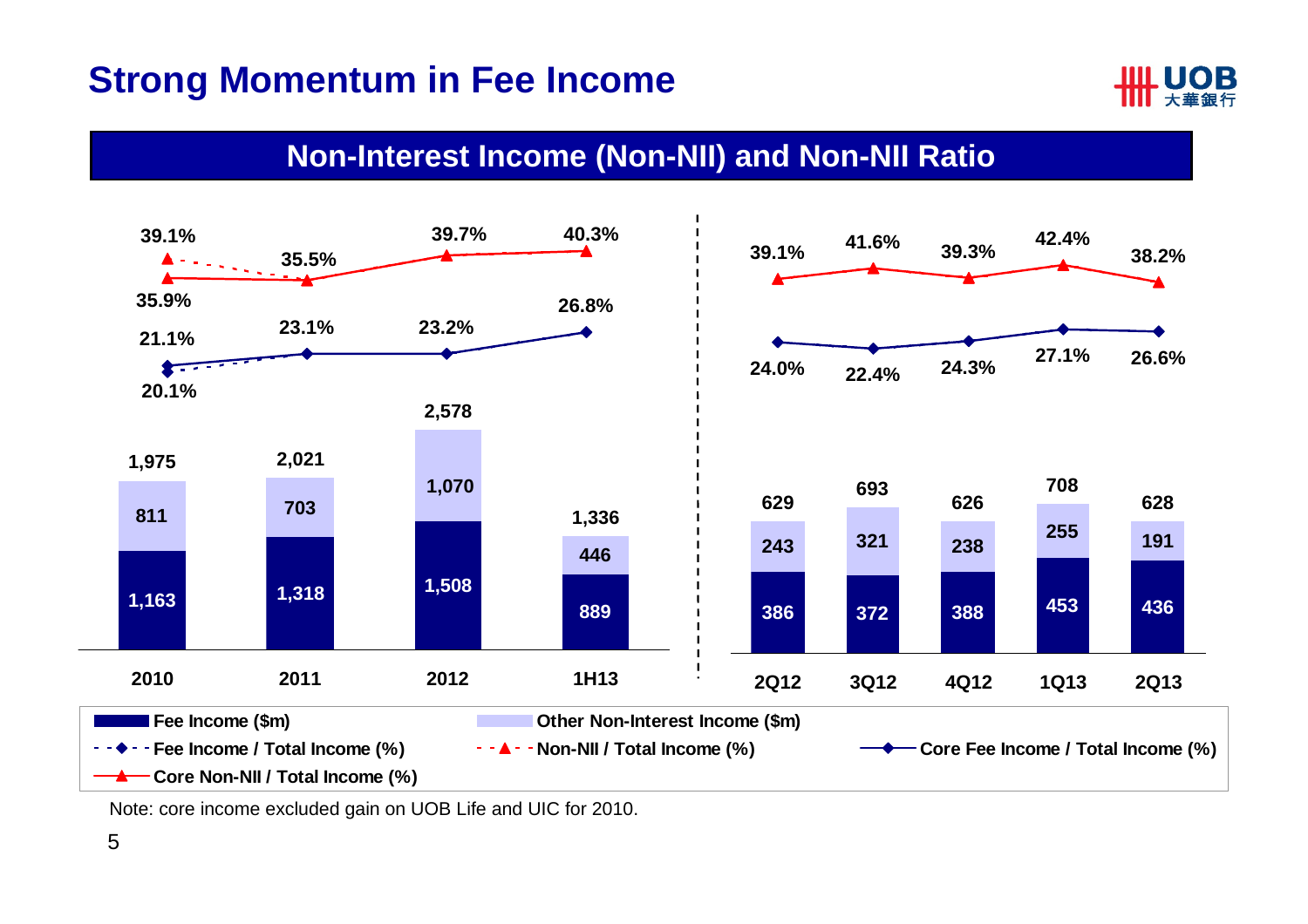#### **Strong Momentum in Fee Income**



#### **Non-Interest Income (Non-NII) and Non-NII Ratio**



Note: core income excluded gain on UOB Life and UIC for 2010.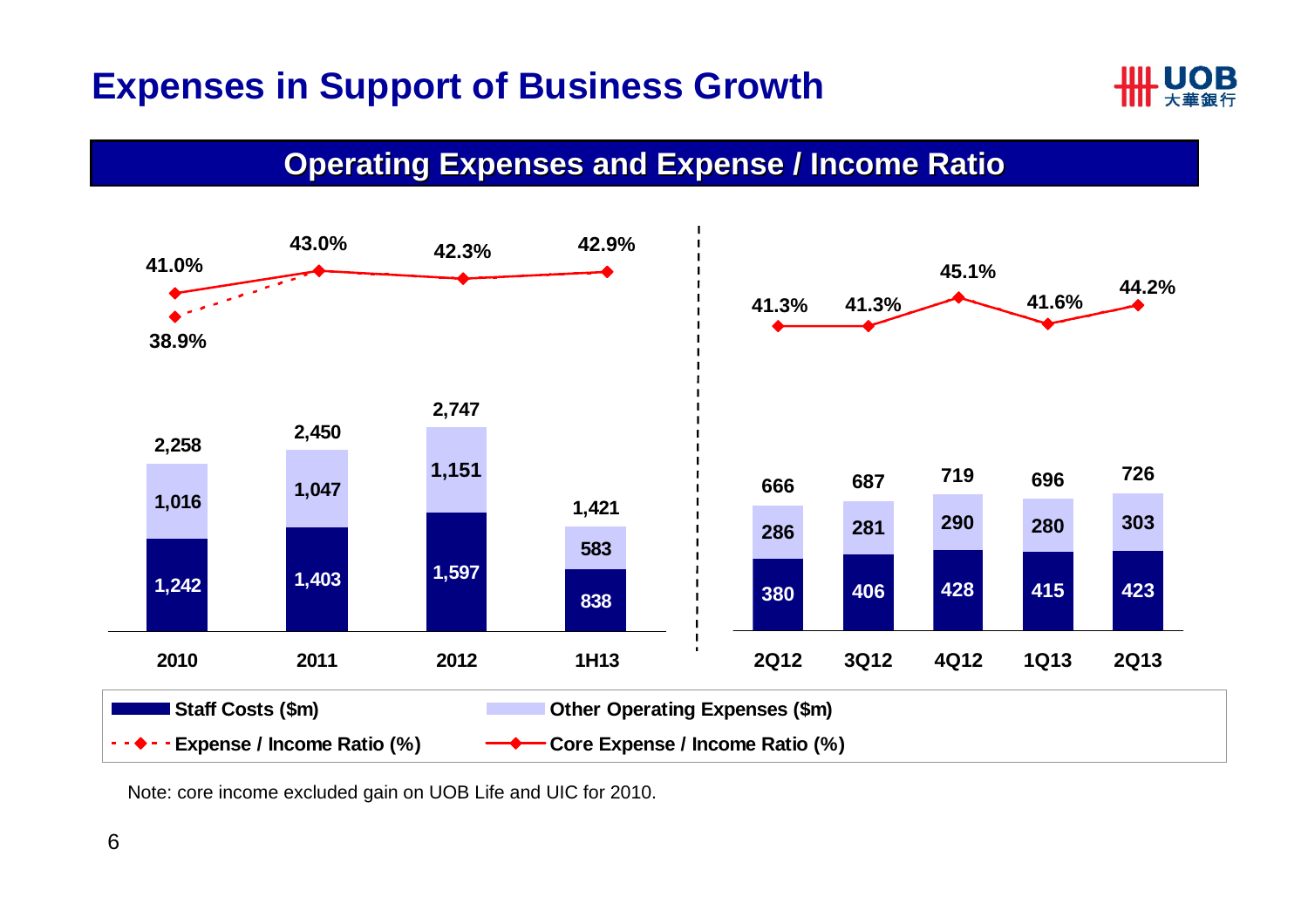### **Expenses in Support of Business Growth**



#### **Operating Expenses and Expense / Income Ratio**



Note: core income excluded gain on UOB Life and UIC for 2010.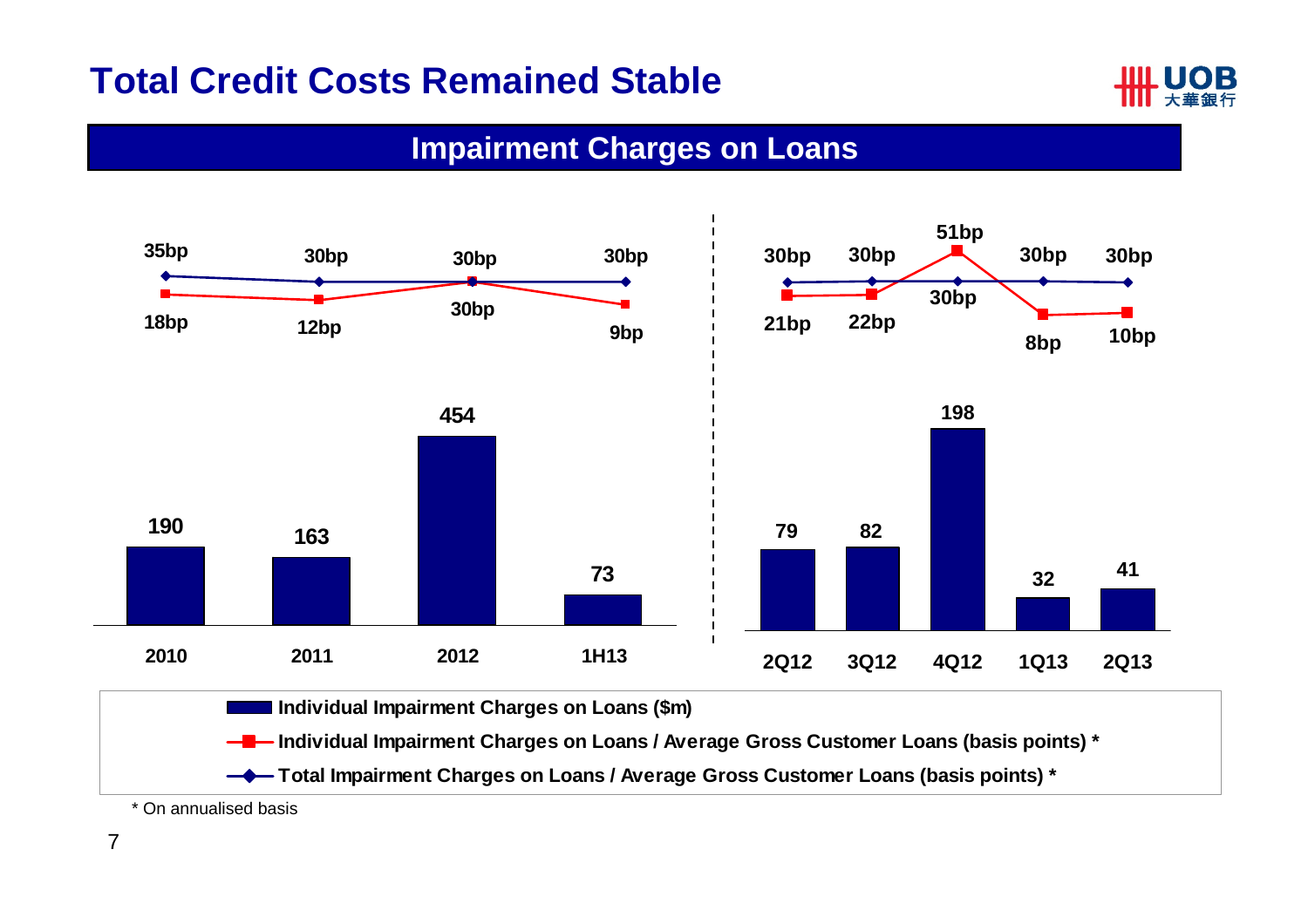#### **Total Credit Costs Remained Stable**



#### **Impairment Charges on Loans**

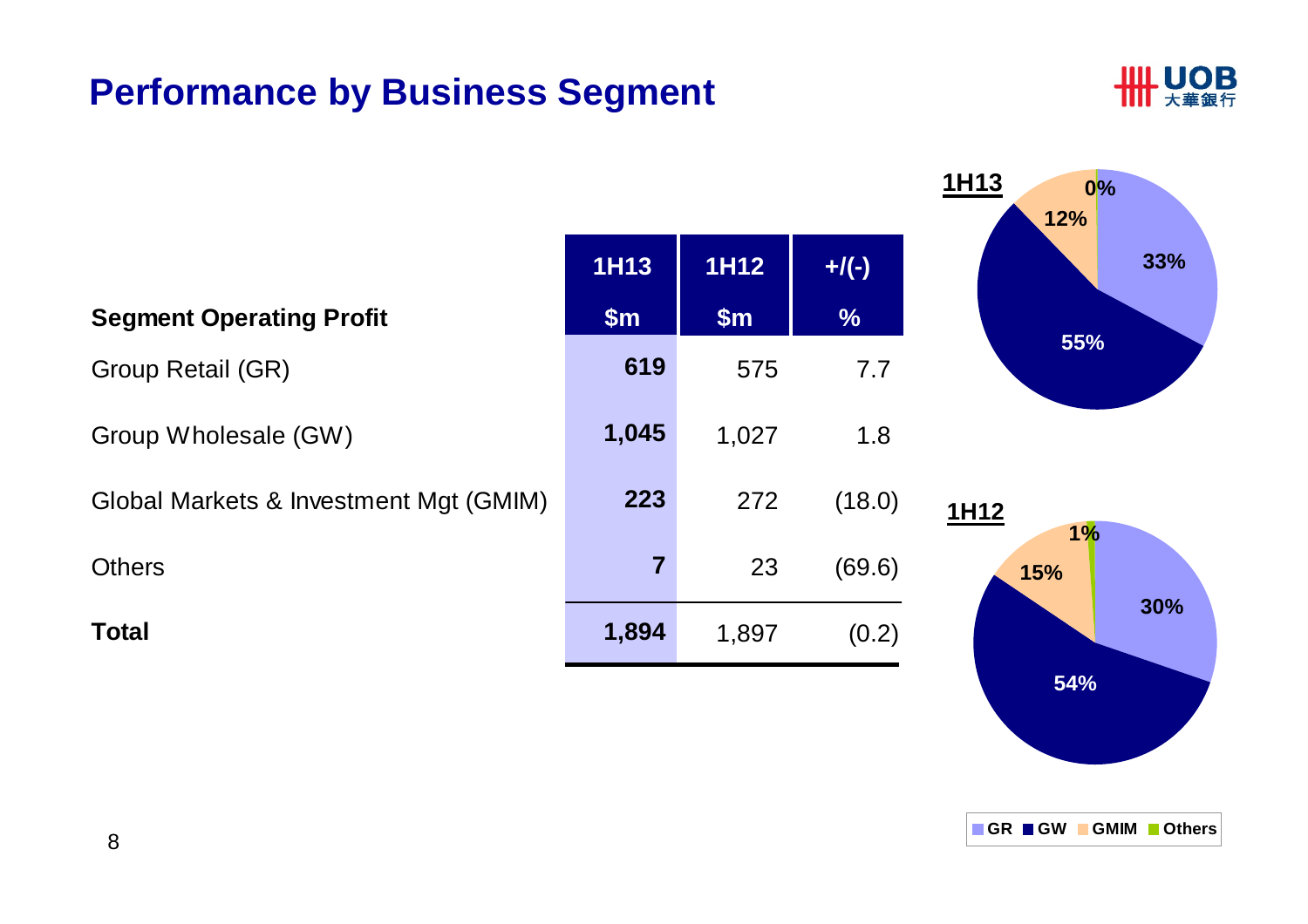#### **Performance by Business Segment**



|                                        |                |       |               | <b>1H13</b><br>$0\%$<br>12% |
|----------------------------------------|----------------|-------|---------------|-----------------------------|
|                                        | <b>1H13</b>    | 1H12  | $+$ /(-)      | 33%                         |
| <b>Segment Operating Profit</b>        | \$m\$          | \$m\$ | $\frac{0}{0}$ |                             |
| Group Retail (GR)                      | 619            | 575   | 7.7           | 55%                         |
| Group Wholesale (GW)                   | 1,045          | 1,027 | 1.8           |                             |
| Global Markets & Investment Mgt (GMIM) | 223            | 272   | (18.0)        | 1H12<br>1%                  |
| <b>Others</b>                          | $\overline{7}$ | 23    | (69.6)        | 15%                         |
| <b>Total</b>                           | 1,894          | 1,897 | (0.2)         | 30%                         |

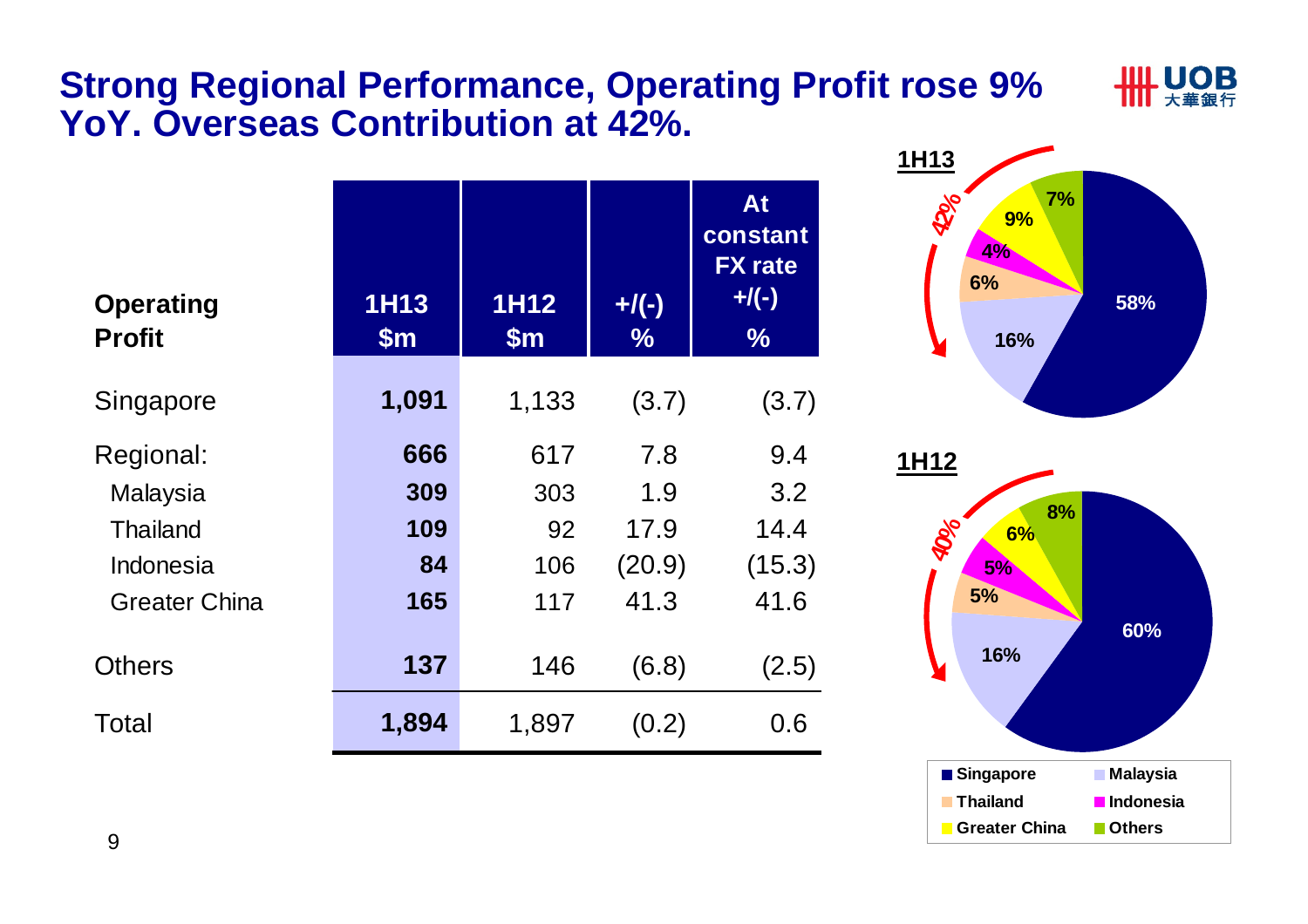#### **Strong Regional Performance, Operating Profit rose 9% YoY. Overseas Contribution at 42%.**

| <b>Operating</b><br><b>Profit</b> | <b>1H13</b><br>$\mathsf{Sm}$ | <b>1H12</b><br>$\mathsf{Sm}$ | $+$ /(-)<br>$\%$ | At<br>constant<br><b>FX</b> rate<br>$+$ /(-)<br>$\frac{0}{0}$ |
|-----------------------------------|------------------------------|------------------------------|------------------|---------------------------------------------------------------|
| Singapore                         | 1,091                        | 1,133                        | (3.7)            | (3.7)                                                         |
| Regional:                         | 666                          | 617                          | 7.8              | 9.4                                                           |
| Malaysia                          | 309                          | 303                          | 1.9              | 3.2                                                           |
| <b>Thailand</b>                   | 109                          | 92                           | 17.9             | 14.4                                                          |
| Indonesia                         | 84                           | 106                          | (20.9)           | (15.3)                                                        |
| <b>Greater China</b>              | 165                          | 117                          | 41.3             | 41.6                                                          |
| <b>Others</b>                     | 137                          | 146                          | (6.8)            | (2.5)                                                         |
| Total                             | 1,894                        | 1,897                        | (0.2)            | 0.6                                                           |



IIIL UOB

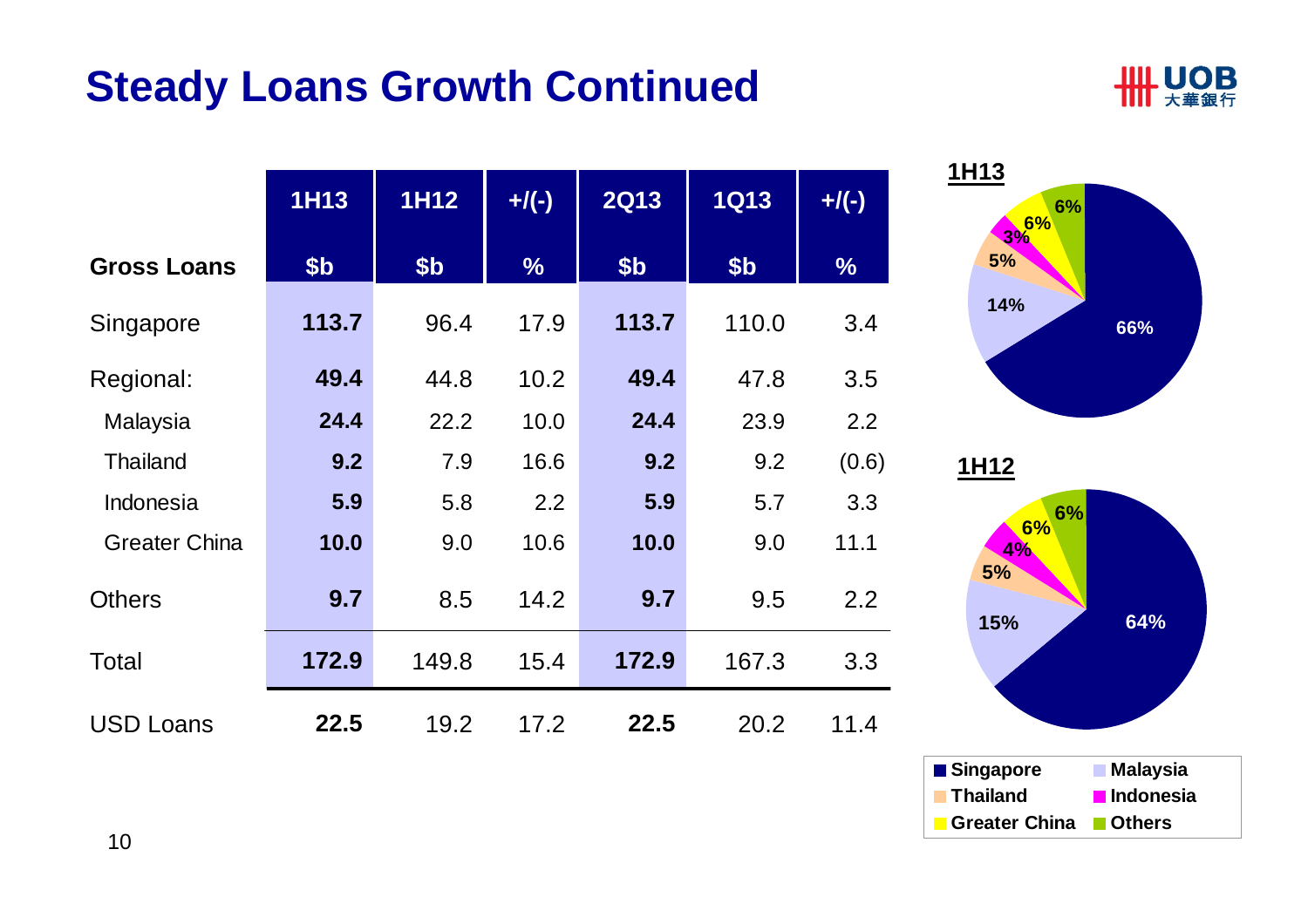# **Steady Loans Growth Continued**



|                      | <b>1H13</b>     | <b>1H12</b>     | $+/(-)$       | <b>2Q13</b>     | <b>1Q13</b> | $+$ /(-)      |
|----------------------|-----------------|-----------------|---------------|-----------------|-------------|---------------|
| <b>Gross Loans</b>   | \$ <sub>b</sub> | \$ <sub>b</sub> | $\frac{9}{6}$ | \$ <sub>b</sub> | \$b         | $\frac{0}{6}$ |
| Singapore            | 113.7           | 96.4            | 17.9          | 113.7           | 110.0       | 3.4           |
| Regional:            | 49.4            | 44.8            | 10.2          | 49.4            | 47.8        | 3.5           |
| Malaysia             | 24.4            | 22.2            | 10.0          | 24.4            | 23.9        | 2.2           |
| <b>Thailand</b>      | 9.2             | 7.9             | 16.6          | 9.2             | 9.2         | (0.6)         |
| Indonesia            | 5.9             | 5.8             | 2.2           | 5.9             | 5.7         | 3.3           |
| <b>Greater China</b> | 10.0            | 9.0             | 10.6          | 10.0            | 9.0         | 11.1          |
| <b>Others</b>        | 9.7             | 8.5             | 14.2          | 9.7             | 9.5         | 2.2           |
| Total                | 172.9           | 149.8           | 15.4          | 172.9           | 167.3       | 3.3           |
| <b>USD Loans</b>     | 22.5            | 19.2            | 17.2          | 22.5            | 20.2        | 11.4          |





10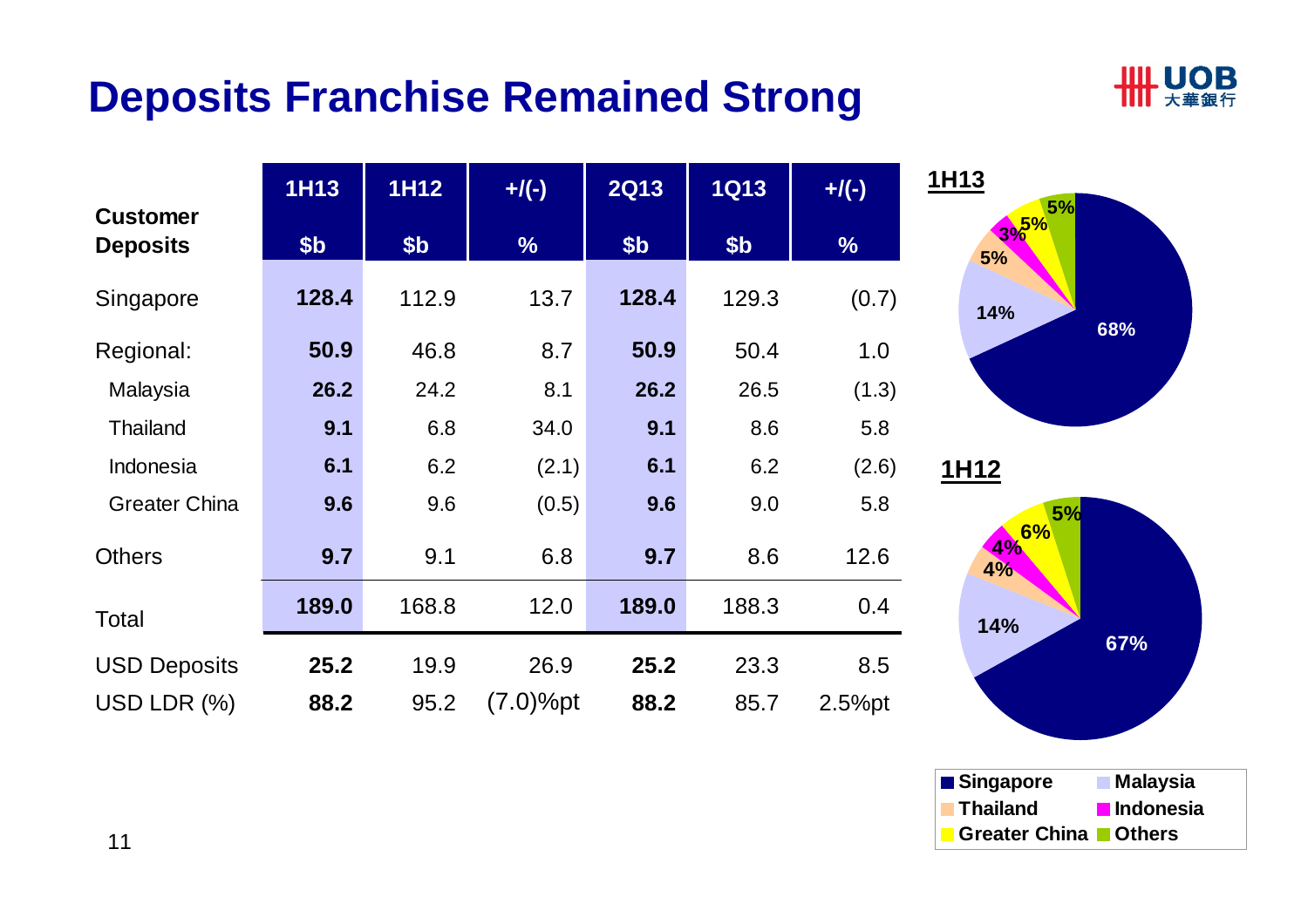# **Deposits Franchise Remained Strong**



|                                    | <b>1H13</b>     | 1H12  | $+/(-)$       | <b>2Q13</b>     | <b>1Q13</b>     | $+/(-)$       | 1H13 |
|------------------------------------|-----------------|-------|---------------|-----------------|-----------------|---------------|------|
| <b>Customer</b><br><b>Deposits</b> | \$ <sub>b</sub> | \$b   | $\frac{1}{2}$ | \$ <sub>b</sub> | \$ <sub>b</sub> | $\frac{0}{6}$ |      |
| Singapore                          | 128.4           | 112.9 | 13.7          | 128.4           | 129.3           | (0.7)         |      |
| Regional:                          | 50.9            | 46.8  | 8.7           | 50.9            | 50.4            | 1.0           |      |
| Malaysia                           | 26.2            | 24.2  | 8.1           | 26.2            | 26.5            | (1.3)         |      |
| <b>Thailand</b>                    | 9.1             | 6.8   | 34.0          | 9.1             | 8.6             | 5.8           |      |
| Indonesia                          | 6.1             | 6.2   | (2.1)         | 6.1             | 6.2             | (2.6)         | 1H1  |
| <b>Greater China</b>               | 9.6             | 9.6   | (0.5)         | 9.6             | 9.0             | 5.8           |      |
| <b>Others</b>                      | 9.7             | 9.1   | 6.8           | 9.7             | 8.6             | 12.6          |      |
| Total                              | 189.0           | 168.8 | 12.0          | 189.0           | 188.3           | 0.4           |      |
| <b>USD Deposits</b>                | 25.2            | 19.9  | 26.9          | 25.2            | 23.3            | 8.5           |      |
| USD LDR $(%)$                      | 88.2            | 95.2  | (7.0)%pt      | 88.2            | 85.7            | $2.5%$ pt     |      |





11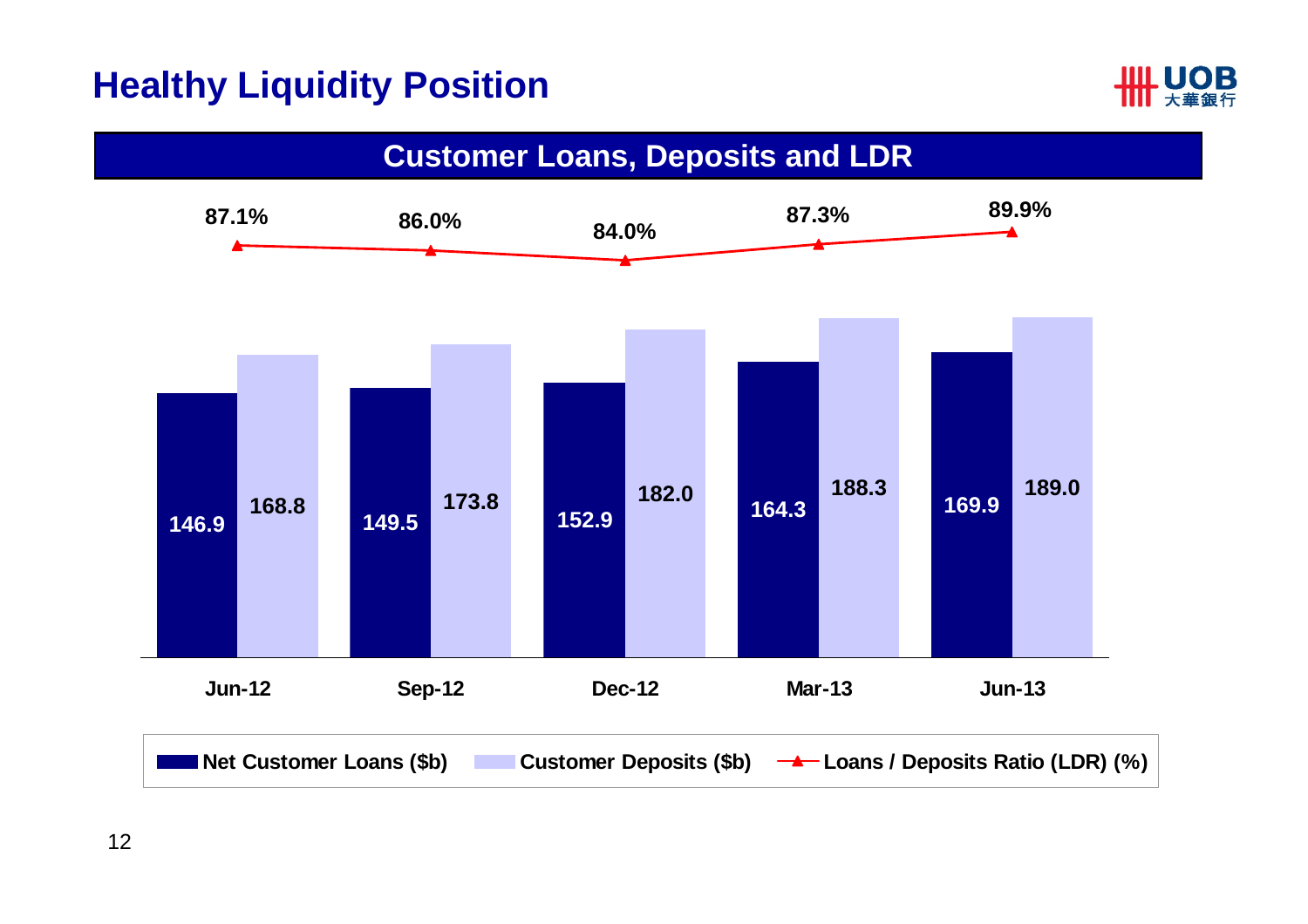### **Healthy Liquidity Position**



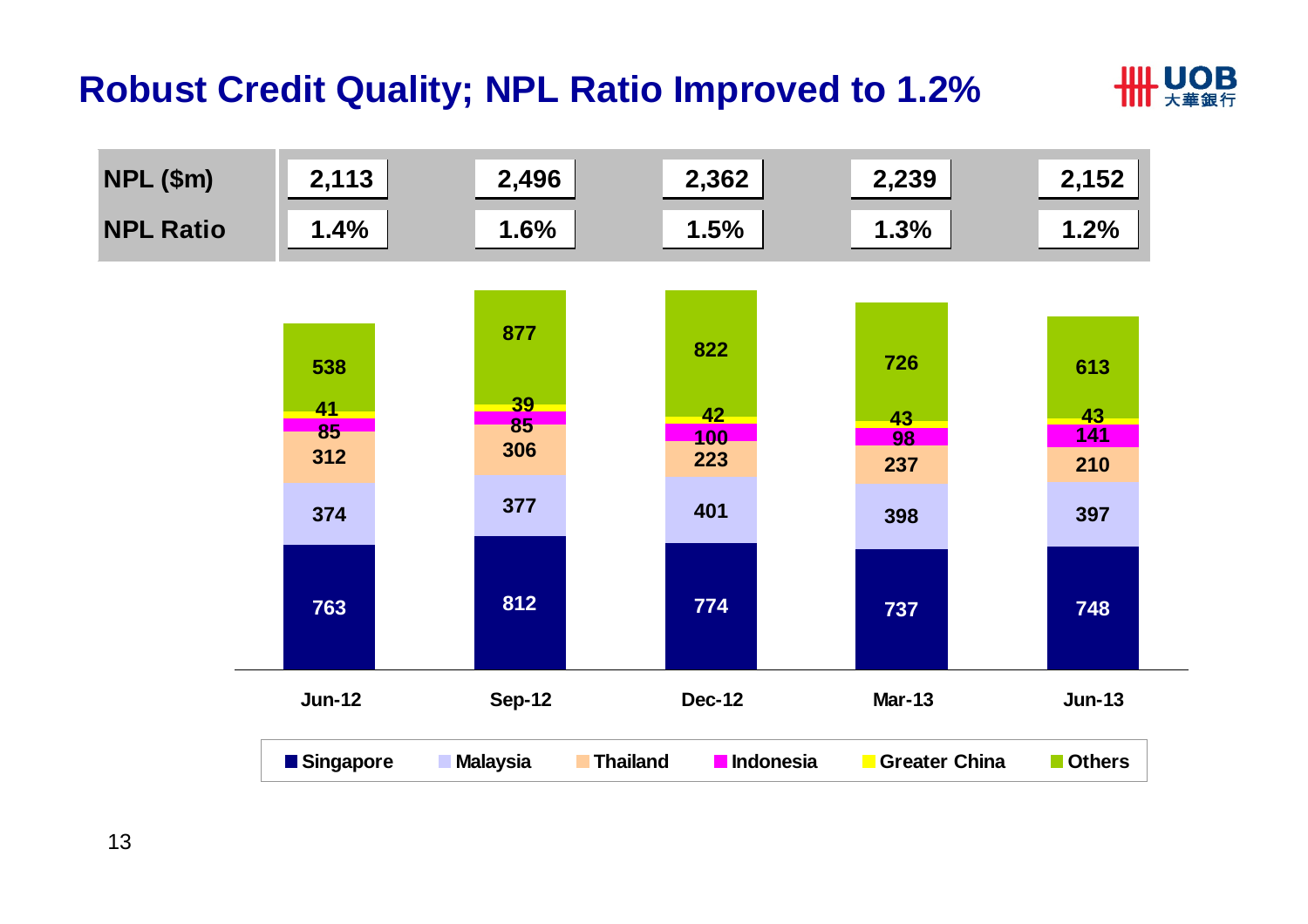### **Robust Credit Quality; NPL Ratio Improved to 1.2%**



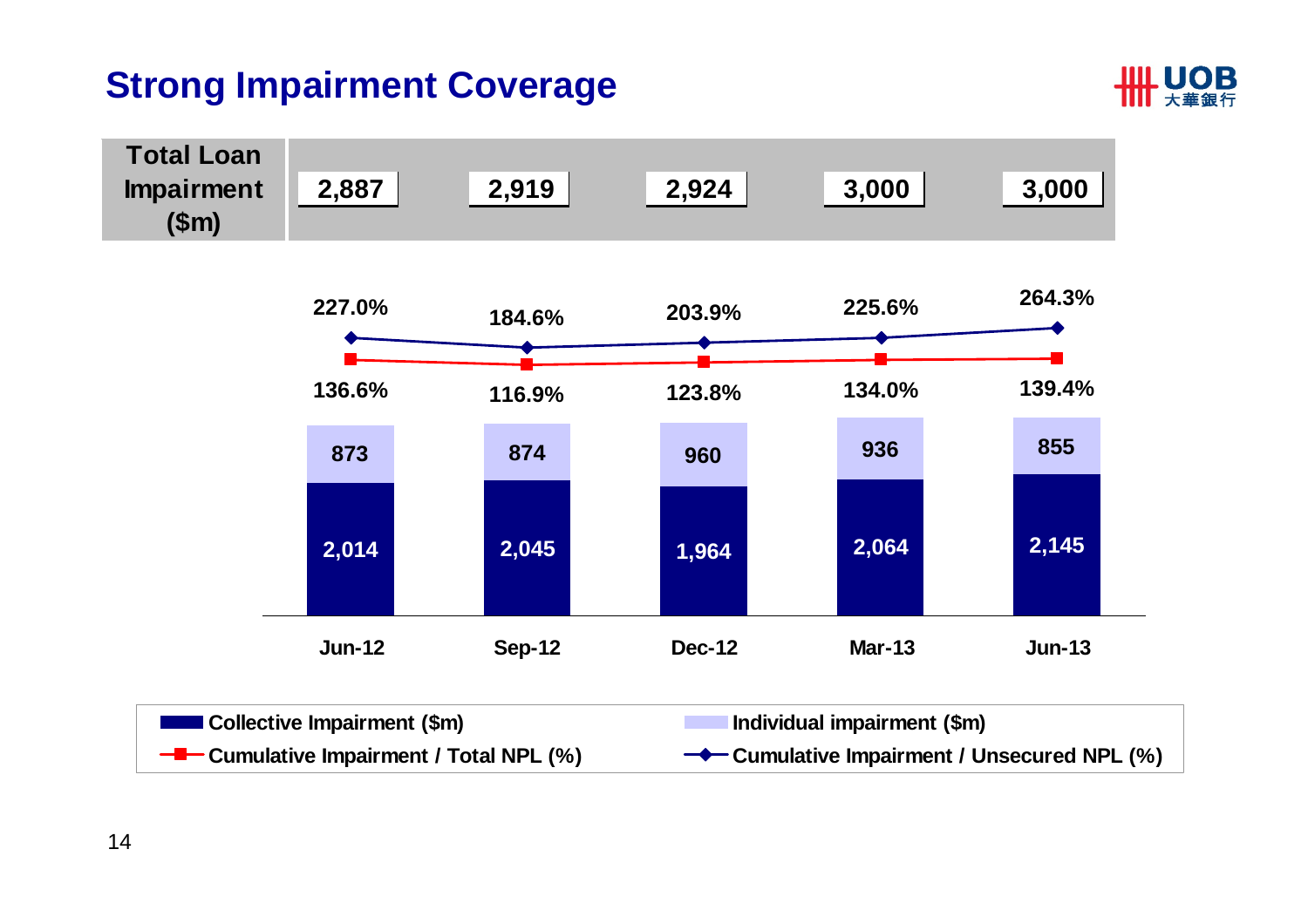## **Strong Impairment Coverage**



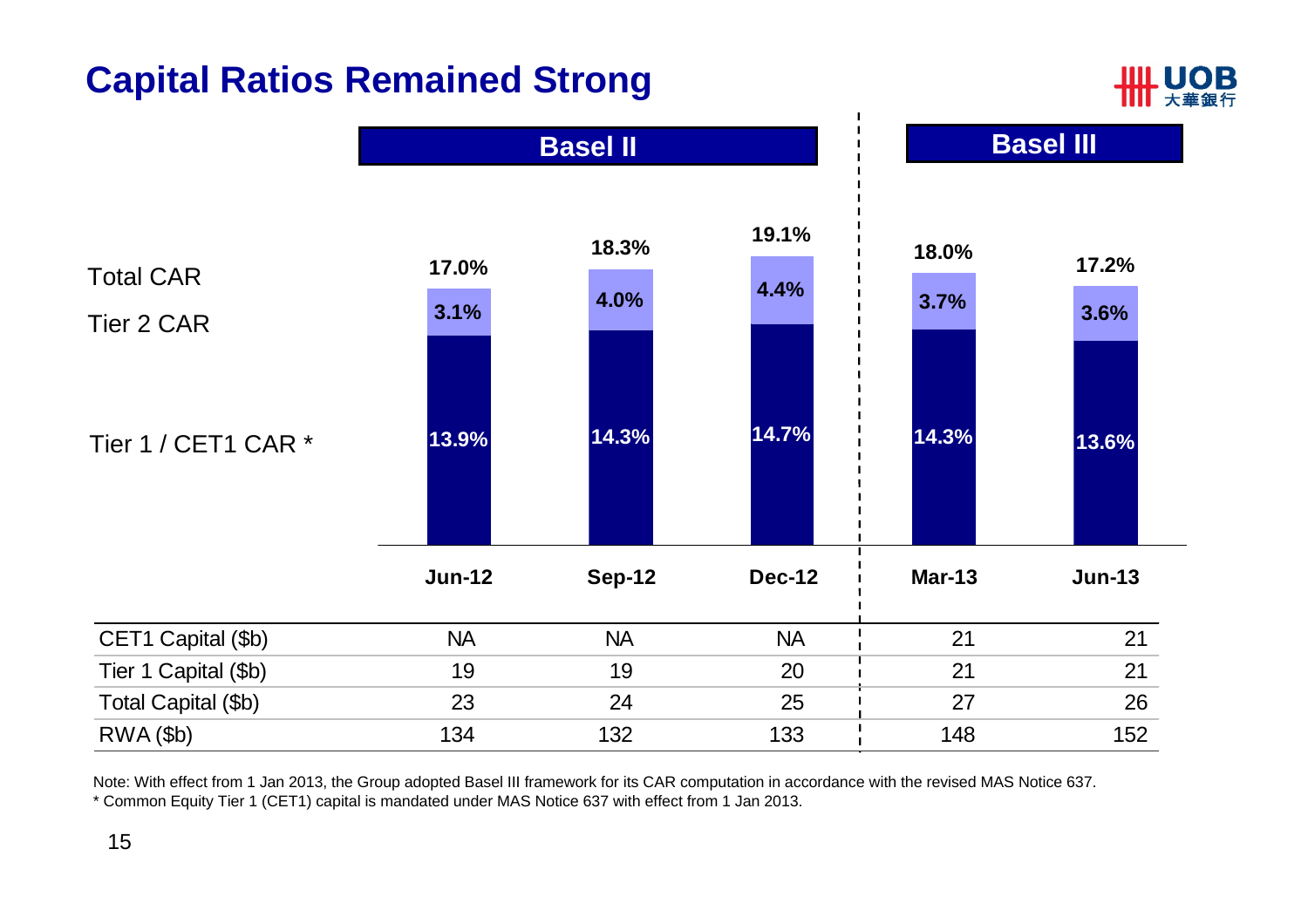# **Capital Ratios Remained Strong**





Note: With effect from 1 Jan 2013, the Group adopted Basel III framework for its CAR computation in accordance with the revised MAS Notice 637. \* Common Equity Tier 1 (CET1) capital is mandated under MAS Notice 637 with effect from 1 Jan 2013.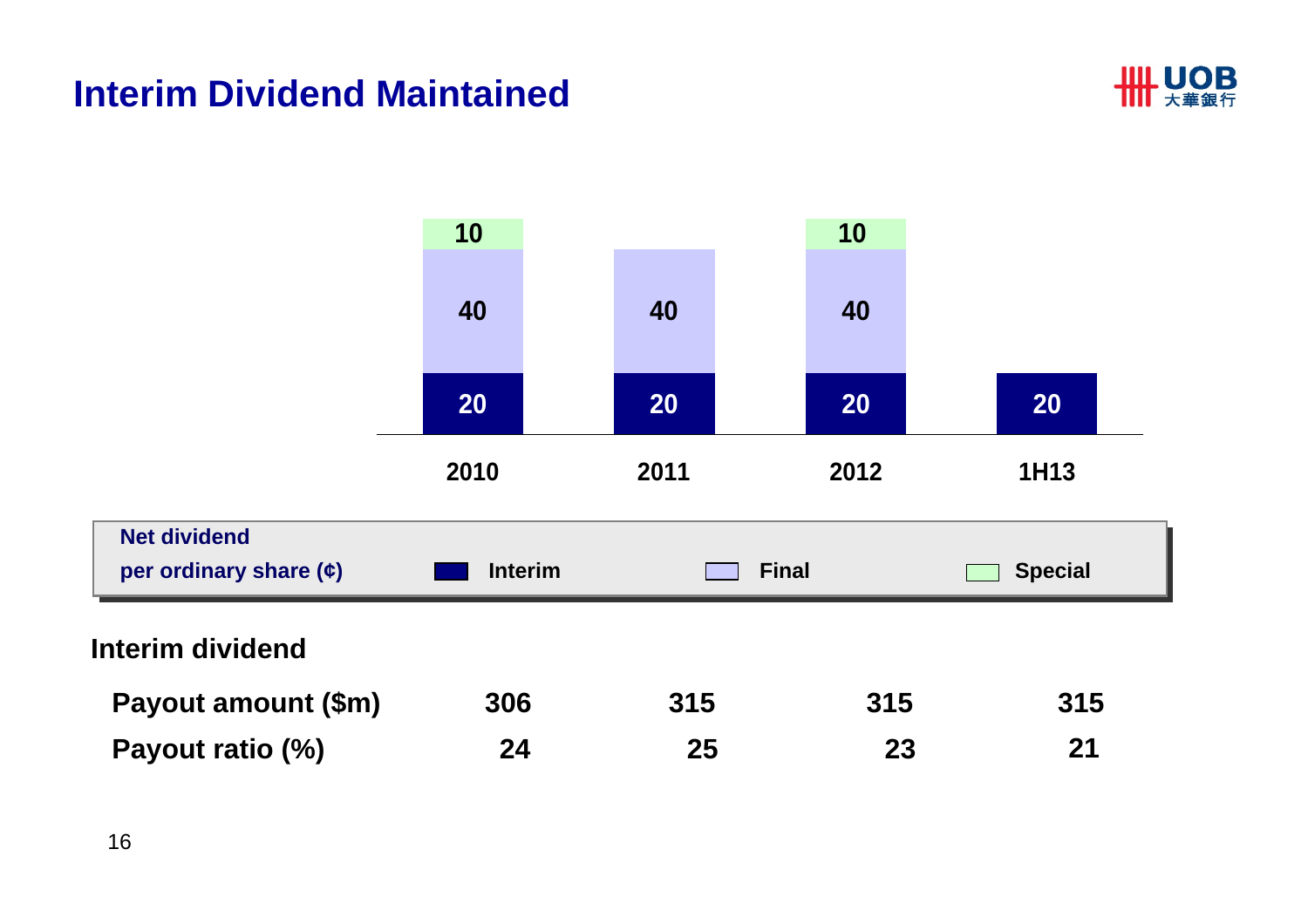#### **Interim Dividend Maintained**



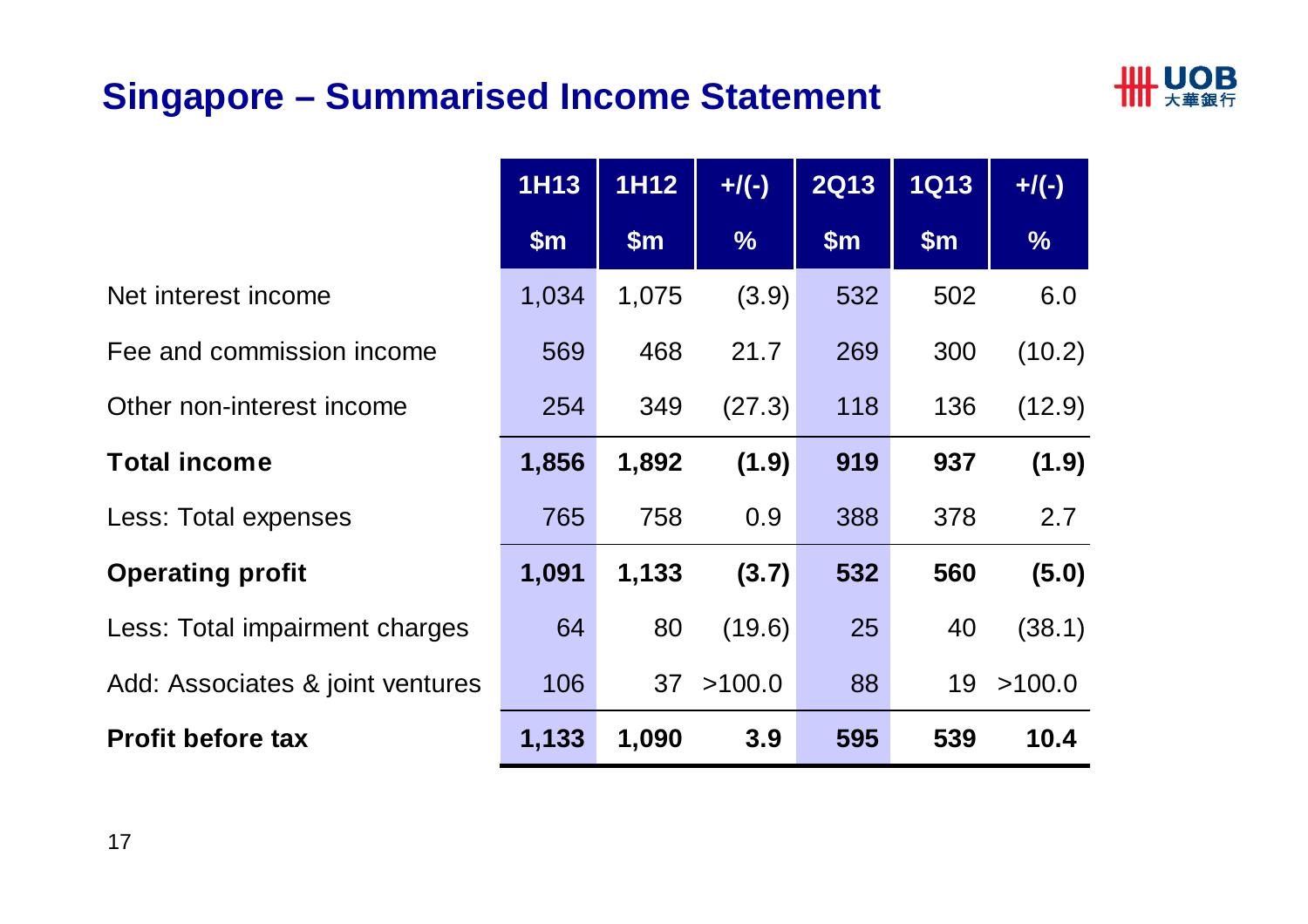## **Singapore – Summarised Income Statement**



|                                  | <b>1H13</b>   | <b>1H12</b>   | $+$ /(-)      | <b>2Q13</b>   | <b>1Q13</b>   | $+$ /(-)      |
|----------------------------------|---------------|---------------|---------------|---------------|---------------|---------------|
|                                  | $\mathsf{Sm}$ | $\mathsf{Sm}$ | $\frac{0}{6}$ | $\mathsf{Sm}$ | $\mathsf{Sm}$ | $\frac{9}{6}$ |
| Net interest income              | 1,034         | 1,075         | (3.9)         | 532           | 502           | 6.0           |
| Fee and commission income        | 569           | 468           | 21.7          | 269           | 300           | (10.2)        |
| Other non-interest income        | 254           | 349           | (27.3)        | 118           | 136           | (12.9)        |
| <b>Total income</b>              | 1,856         | 1,892         | (1.9)         | 919           | 937           | (1.9)         |
| Less: Total expenses             | 765           | 758           | 0.9           | 388           | 378           | 2.7           |
| <b>Operating profit</b>          | 1,091         | 1,133         | (3.7)         | 532           | 560           | (5.0)         |
| Less: Total impairment charges   | 64            | 80            | (19.6)        | 25            | 40            | (38.1)        |
| Add: Associates & joint ventures | 106           | 37            | >100.0        | 88            | 19            | >100.0        |
| <b>Profit before tax</b>         | 1,133         | 1,090         | 3.9           | 595           | 539           | 10.4          |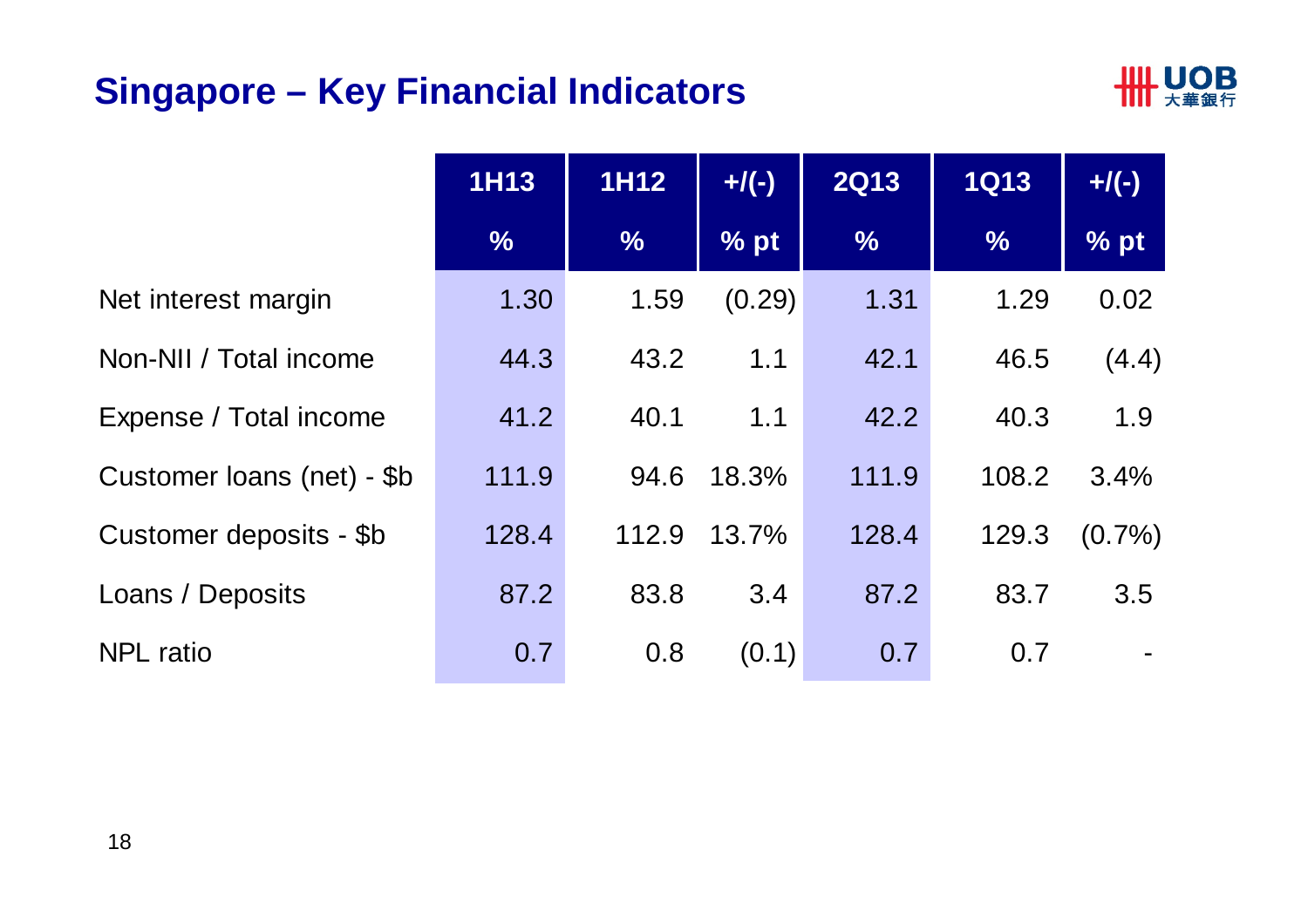### **Singapore – Key Financial Indicators**



|                            | <b>1H13</b>   | <b>1H12</b>   | $+$ /(-) | <b>2Q13</b>   | <b>1Q13</b>   | $+$ /(-)  |
|----------------------------|---------------|---------------|----------|---------------|---------------|-----------|
|                            | $\frac{9}{6}$ | $\frac{0}{0}$ | % pt     | $\frac{0}{6}$ | $\frac{9}{6}$ | % pt      |
| Net interest margin        | 1.30          | 1.59          | (0.29)   | 1.31          | 1.29          | 0.02      |
| Non-NII / Total income     | 44.3          | 43.2          | 1.1      | 42.1          | 46.5          | (4.4)     |
| Expense / Total income     | 41.2          | 40.1          | 1.1      | 42.2          | 40.3          | 1.9       |
| Customer loans (net) - \$b | 111.9         | 94.6          | 18.3%    | 111.9         | 108.2         | 3.4%      |
| Customer deposits - \$b    | 128.4         | 112.9         | 13.7%    | 128.4         | 129.3         | $(0.7\%)$ |
| Loans / Deposits           | 87.2          | 83.8          | 3.4      | 87.2          | 83.7          | 3.5       |
| <b>NPL</b> ratio           | 0.7           | 0.8           | (0.1)    | 0.7           | 0.7           |           |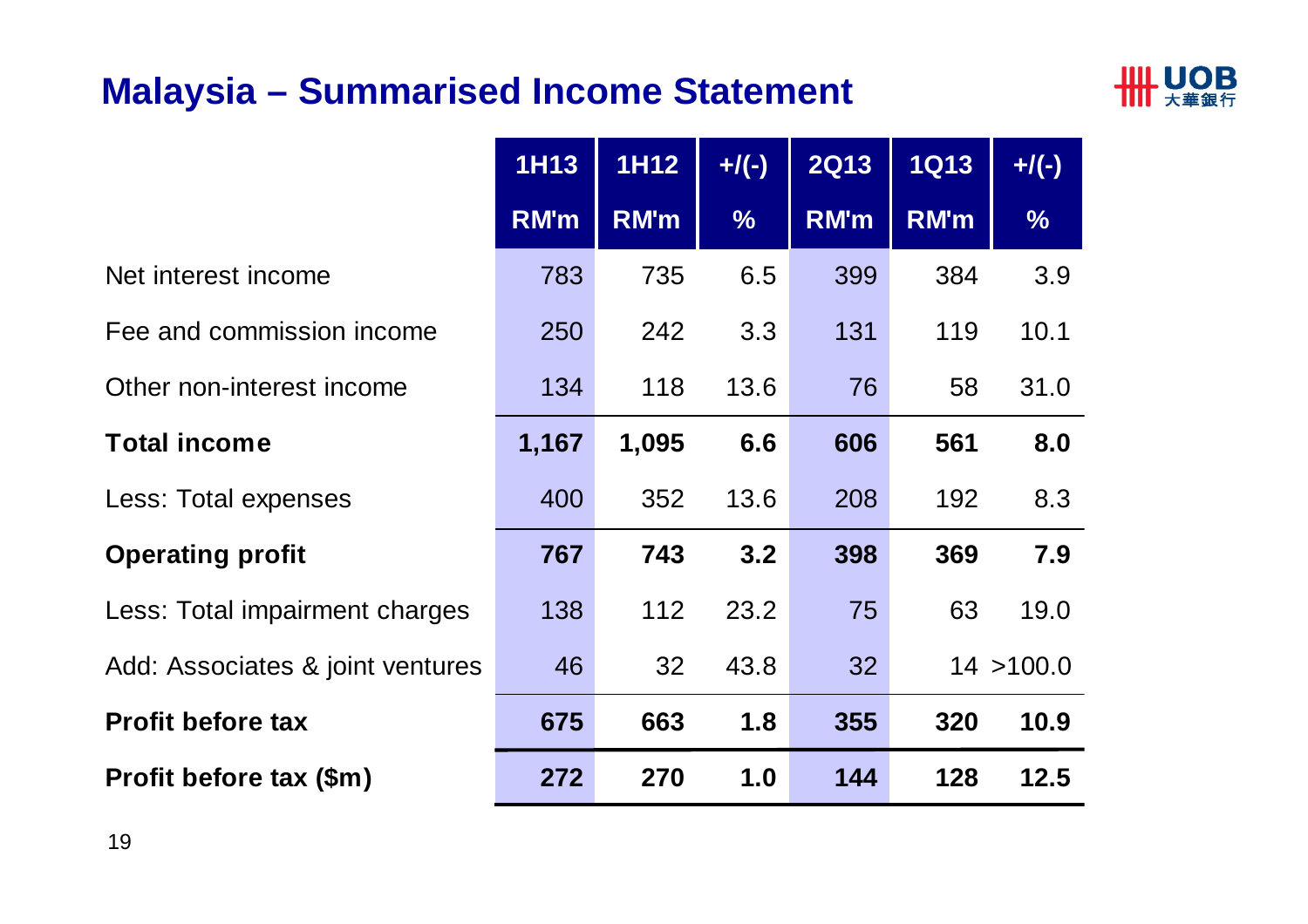#### **Malaysia – Summarised Income Statement**



|                                  | <b>1H13</b> | <b>1H12</b> | $+$ /(-)      | <b>2Q13</b> | <b>1Q13</b> | $+$ /(-)      |
|----------------------------------|-------------|-------------|---------------|-------------|-------------|---------------|
|                                  | RM'm        | RM'm        | $\frac{0}{6}$ | <b>RM'm</b> | RM'm        | $\frac{1}{2}$ |
| Net interest income              | 783         | 735         | 6.5           | 399         | 384         | 3.9           |
| Fee and commission income        | 250         | 242         | 3.3           | 131         | 119         | 10.1          |
| Other non-interest income        | 134         | 118         | 13.6          | 76          | 58          | 31.0          |
| <b>Total income</b>              | 1,167       | 1,095       | 6.6           | 606         | 561         | 8.0           |
| Less: Total expenses             | 400         | 352         | 13.6          | 208         | 192         | 8.3           |
| <b>Operating profit</b>          | 767         | 743         | 3.2           | 398         | 369         | 7.9           |
| Less: Total impairment charges   | 138         | 112         | 23.2          | 75          | 63          | 19.0          |
| Add: Associates & joint ventures | 46          | 32          | 43.8          | 32          |             | 14 > 100.0    |
| <b>Profit before tax</b>         | 675         | 663         | 1.8           | 355         | 320         | 10.9          |
| Profit before tax (\$m)          | 272         | 270         | 1.0           | 144         | 128         | 12.5          |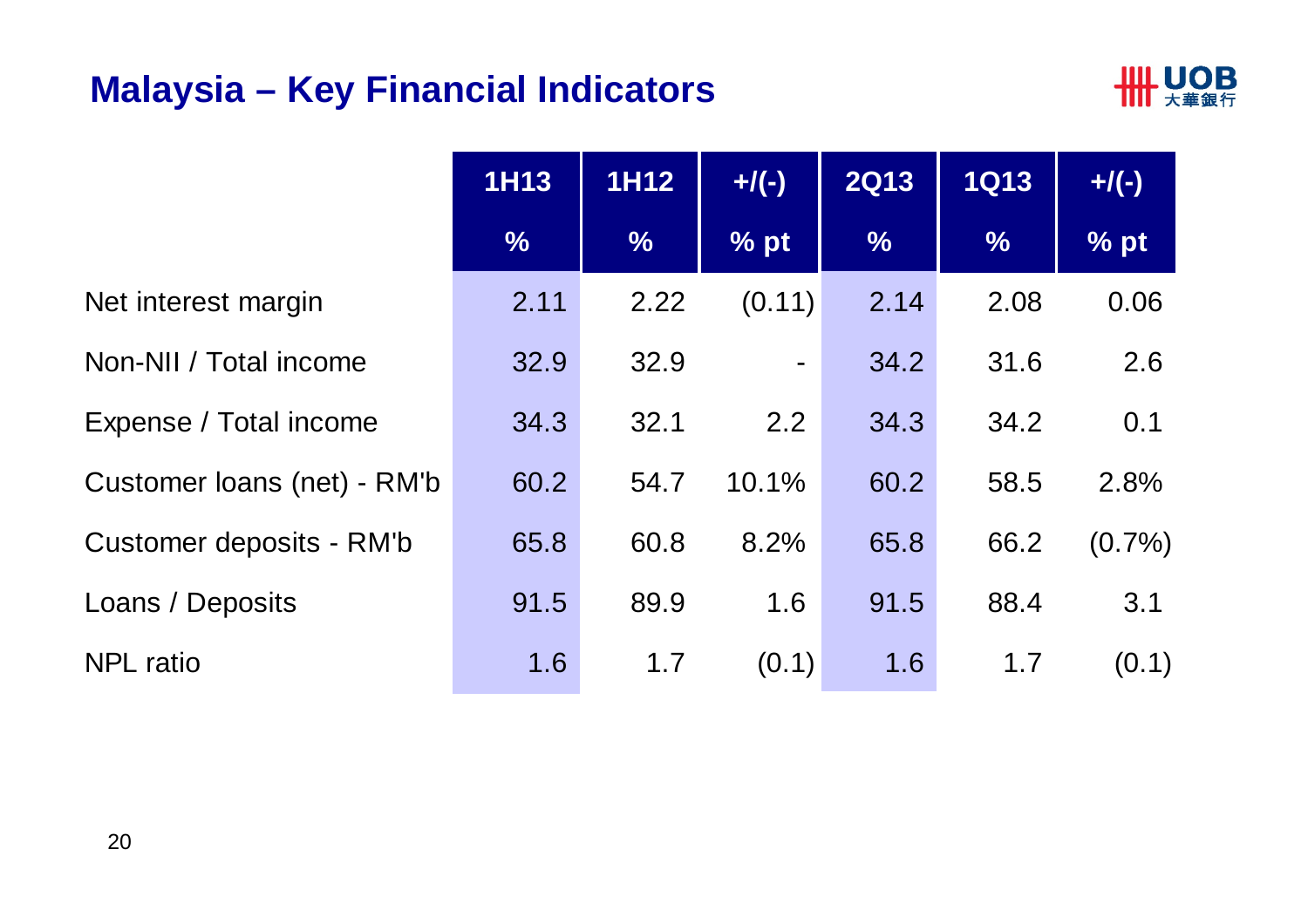#### **Malaysia – Key Financial Indicators**



|                             | <b>1H13</b>   | <b>1H12</b>   | $+$ /(-)       | <b>2Q13</b>   | <b>1Q13</b>   | $+$ /(-)  |
|-----------------------------|---------------|---------------|----------------|---------------|---------------|-----------|
|                             | $\frac{0}{6}$ | $\frac{0}{0}$ | % pt           | $\frac{0}{6}$ | $\frac{9}{6}$ | % pt      |
| Net interest margin         | 2.11          | 2.22          | (0.11)         | 2.14          | 2.08          | 0.06      |
| Non-NII / Total income      | 32.9          | 32.9          | $\blacksquare$ | 34.2          | 31.6          | 2.6       |
| Expense / Total income      | 34.3          | 32.1          | 2.2            | 34.3          | 34.2          | 0.1       |
| Customer loans (net) - RM'b | 60.2          | 54.7          | 10.1%          | 60.2          | 58.5          | 2.8%      |
| Customer deposits - RM'b    | 65.8          | 60.8          | 8.2%           | 65.8          | 66.2          | $(0.7\%)$ |
| Loans / Deposits            | 91.5          | 89.9          | 1.6            | 91.5          | 88.4          | 3.1       |
| <b>NPL</b> ratio            | 1.6           | 1.7           | (0.1)          | 1.6           | 1.7           | (0.1)     |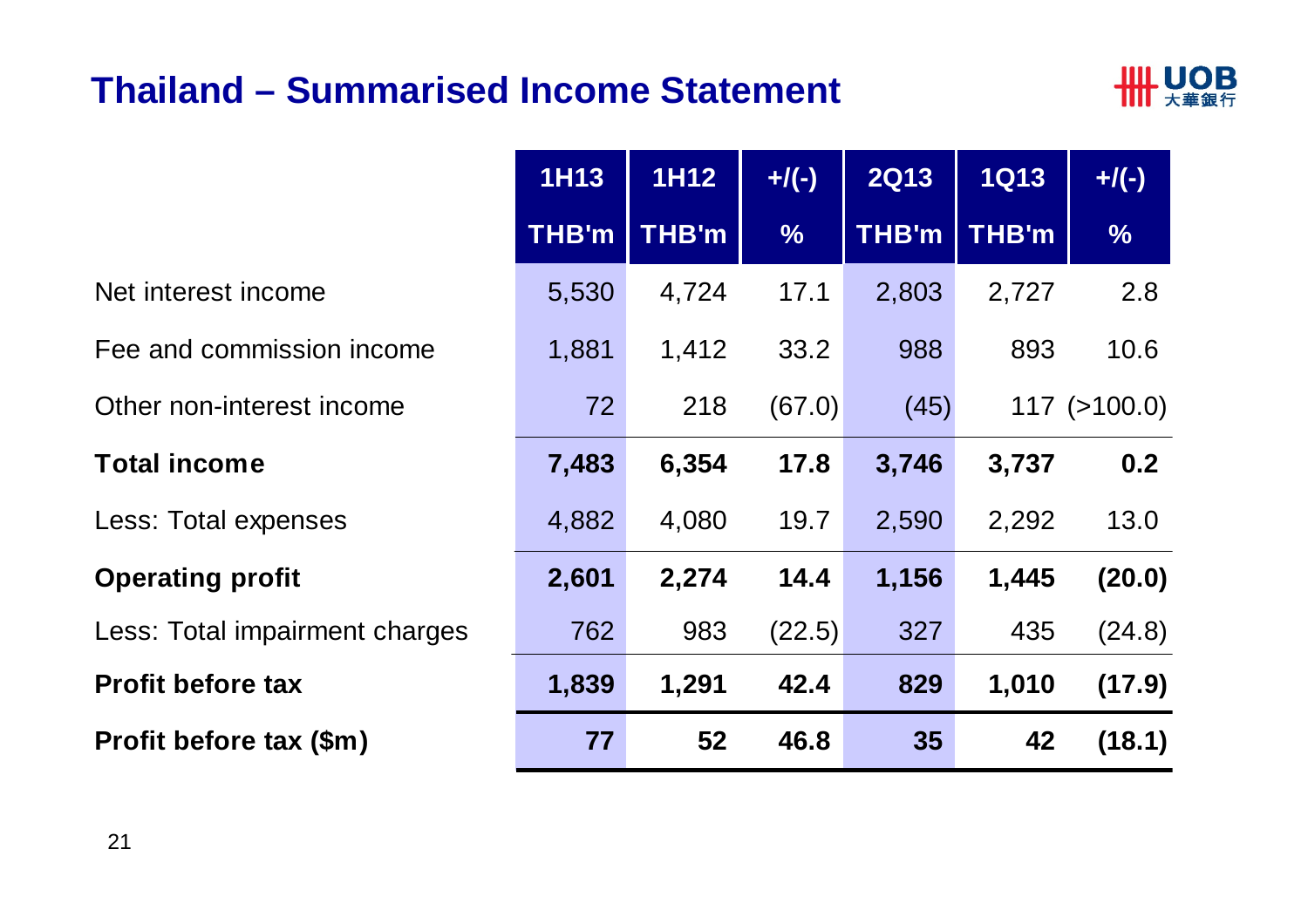#### **Thailand – Summarised Income Statement**



|      | <b>1H13</b>  | <b>1H12</b>  | $+$ /(-)      | <b>2Q13</b>  | <b>1Q13</b>  | $+$ /(-)           |
|------|--------------|--------------|---------------|--------------|--------------|--------------------|
|      | <b>THB'm</b> | <b>THB'm</b> | $\frac{0}{6}$ | <b>THB'm</b> | <b>THB'm</b> | $\frac{0}{6}$      |
|      | 5,530        | 4,724        | 17.1          | 2,803        | 2,727        | 2.8                |
| ıе   | 1,881        | 1,412        | 33.2          | 988          | 893          | 10.6               |
|      | 72           | 218          | (67.0)        | (45)         |              | $117$ ( $>100.0$ ) |
|      | 7,483        | 6,354        | 17.8          | 3,746        | 3,737        | 0.2                |
|      | 4,882        | 4,080        | 19.7          | 2,590        | 2,292        | 13.0               |
|      | 2,601        | 2,274        | 14.4          | 1,156        | 1,445        | (20.0)             |
| rges | 762          | 983          | (22.5)        | 327          | 435          | (24.8)             |
|      | 1,839        | 1,291        | 42.4          | 829          | 1,010        | (17.9)             |
|      | 77           | 52           | 46.8          | 35           | 42           | (18.1)             |

Net interest income

Fee and commission incom

Other non-interest income

#### **Total income 7,483 6,354 17.8 3,746 3,737 0.2**

Less: Total expenses

#### **Operating profit**

Less: Total impairment char

#### **Profit before tax**

**Profit before tax (\$m)**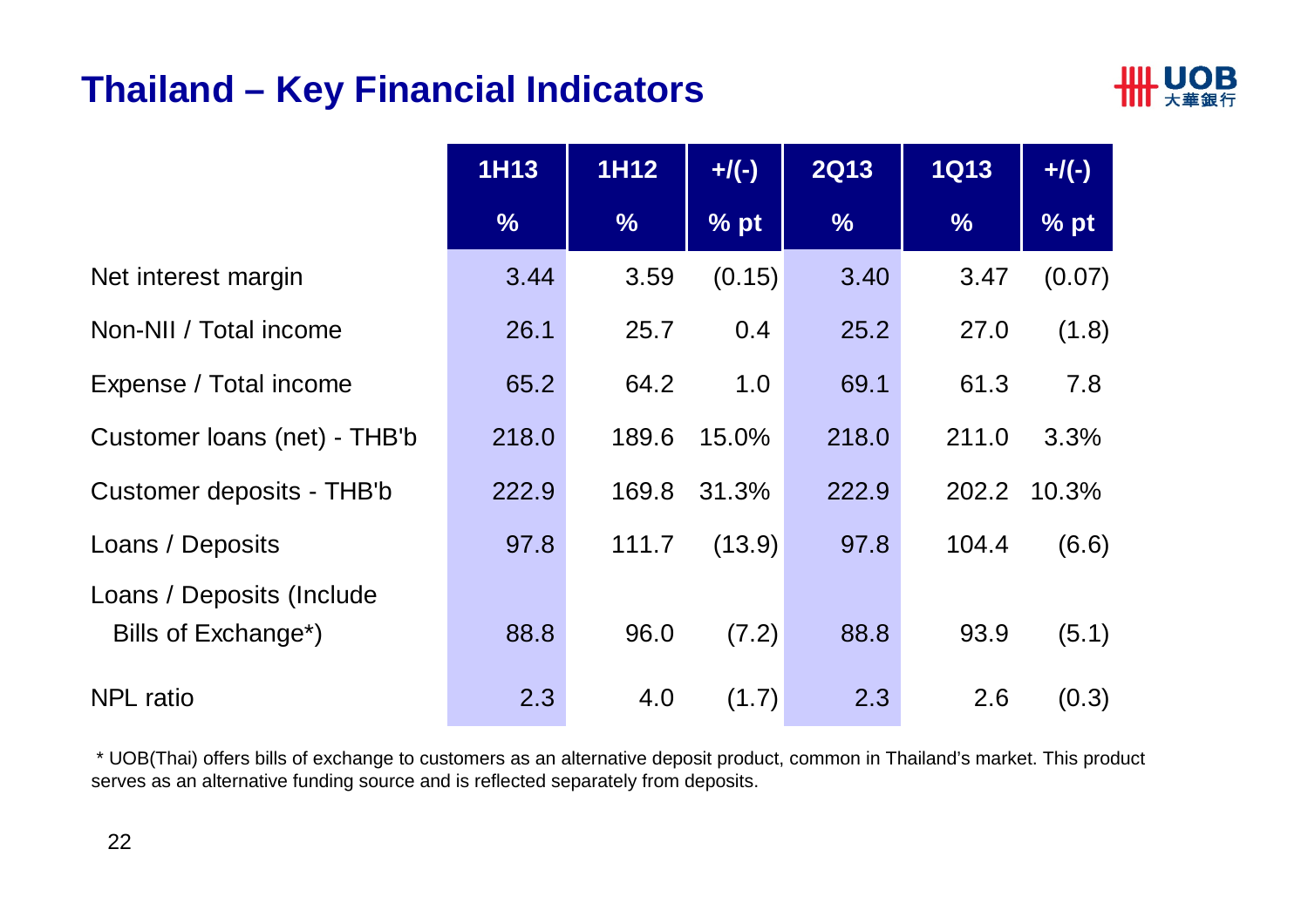#### **Thailand – Key Financial Indicators**



|                                                               | <b>1H13</b>   | 1H12          | $+$ /(-) | <b>2Q13</b>   | <b>1Q13</b>   | $+$ /(-) |
|---------------------------------------------------------------|---------------|---------------|----------|---------------|---------------|----------|
|                                                               | $\frac{1}{2}$ | $\frac{0}{6}$ | $%$ pt   | $\frac{9}{6}$ | $\frac{0}{6}$ | % pt     |
| Net interest margin                                           | 3.44          | 3.59          | (0.15)   | 3.40          | 3.47          | (0.07)   |
| Non-NII / Total income                                        | 26.1          | 25.7          | 0.4      | 25.2          | 27.0          | (1.8)    |
| Expense / Total income                                        | 65.2          | 64.2          | 1.0      | 69.1          | 61.3          | 7.8      |
| Customer loans (net) - THB'b                                  | 218.0         | 189.6         | 15.0%    | 218.0         | 211.0         | 3.3%     |
| Customer deposits - THB'b                                     | 222.9         | 169.8         | 31.3%    | 222.9         | 202.2         | 10.3%    |
| Loans / Deposits                                              | 97.8          | 111.7         | (13.9)   | 97.8          | 104.4         | (6.6)    |
| Loans / Deposits (Include<br>Bills of Exchange <sup>*</sup> ) | 88.8          | 96.0          | (7.2)    | 88.8          | 93.9          | (5.1)    |
| <b>NPL</b> ratio                                              | 2.3           | 4.0           | (1.7)    | 2.3           | 2.6           | (0.3)    |

\* UOB(Thai) offers bills of exchange to customers as an alternative deposit product, common in Thailand's market. This product serves as an alternative funding source and is reflected separately from deposits.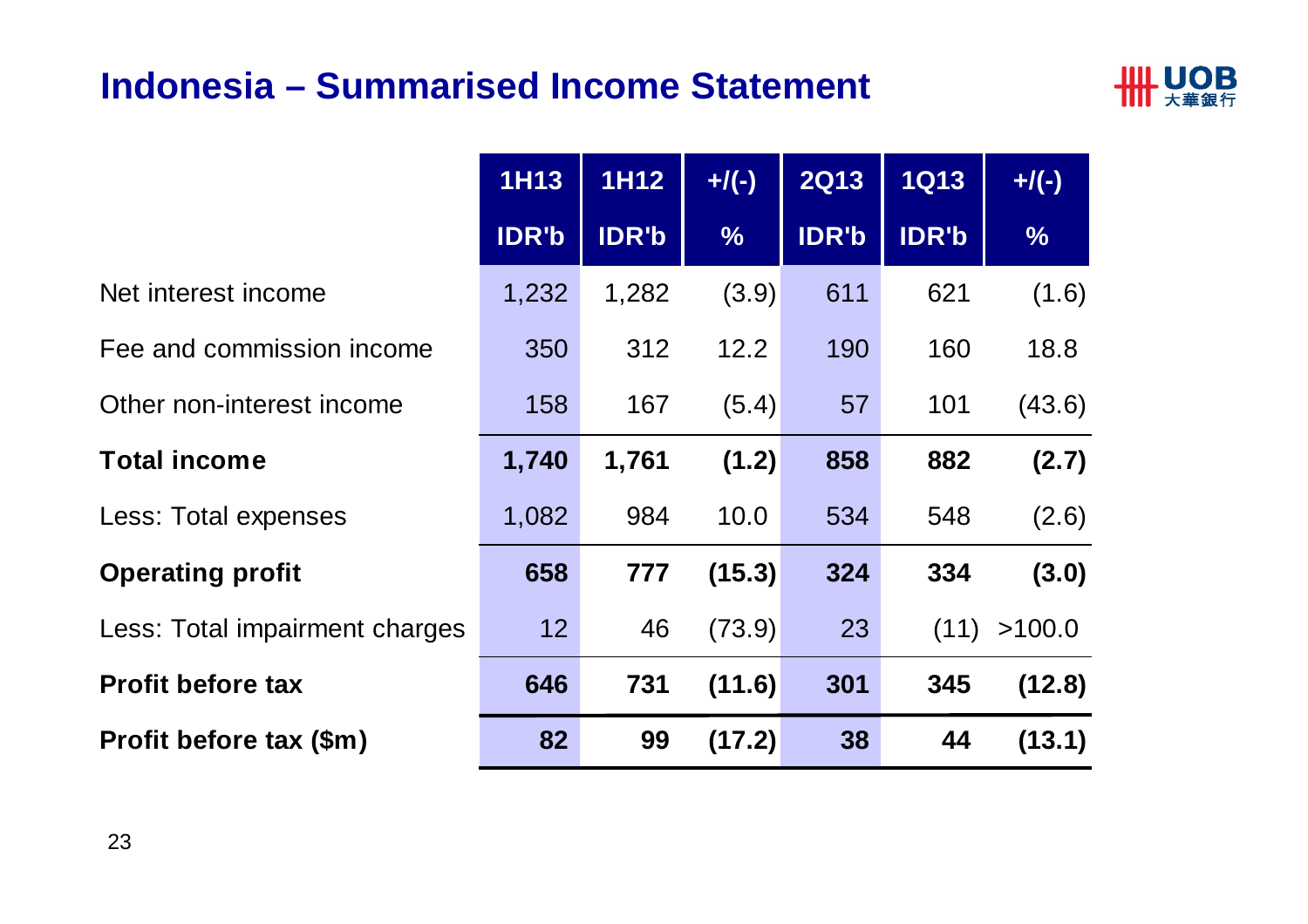#### **Indonesia – Summarised Income Statement**



|                                | <b>1H13</b>  | 1H12         | $+$ /(-)      | <b>2Q13</b>  | <b>1Q13</b>  | $+$ /(-)      |
|--------------------------------|--------------|--------------|---------------|--------------|--------------|---------------|
|                                | <b>IDR'b</b> | <b>IDR'b</b> | $\frac{9}{6}$ | <b>IDR'b</b> | <b>IDR'b</b> | $\frac{9}{6}$ |
| Net interest income            | 1,232        | 1,282        | (3.9)         | 611          | 621          | (1.6)         |
| Fee and commission income      | 350          | 312          | 12.2          | 190          | 160          | 18.8          |
| Other non-interest income      | 158          | 167          | (5.4)         | 57           | 101          | (43.6)        |
| <b>Total income</b>            | 1,740        | 1,761        | (1.2)         | 858          | 882          | (2.7)         |
| <b>Less: Total expenses</b>    | 1,082        | 984          | 10.0          | 534          | 548          | (2.6)         |
| <b>Operating profit</b>        | 658          | 777          | (15.3)        | 324          | 334          | (3.0)         |
| Less: Total impairment charges | 12           | 46           | (73.9)        | 23           | (11)         | >100.0        |
| <b>Profit before tax</b>       | 646          | 731          | (11.6)        | 301          | 345          | (12.8)        |
| Profit before tax (\$m)        | 82           | 99           | (17.2)        | 38           | 44           | (13.1)        |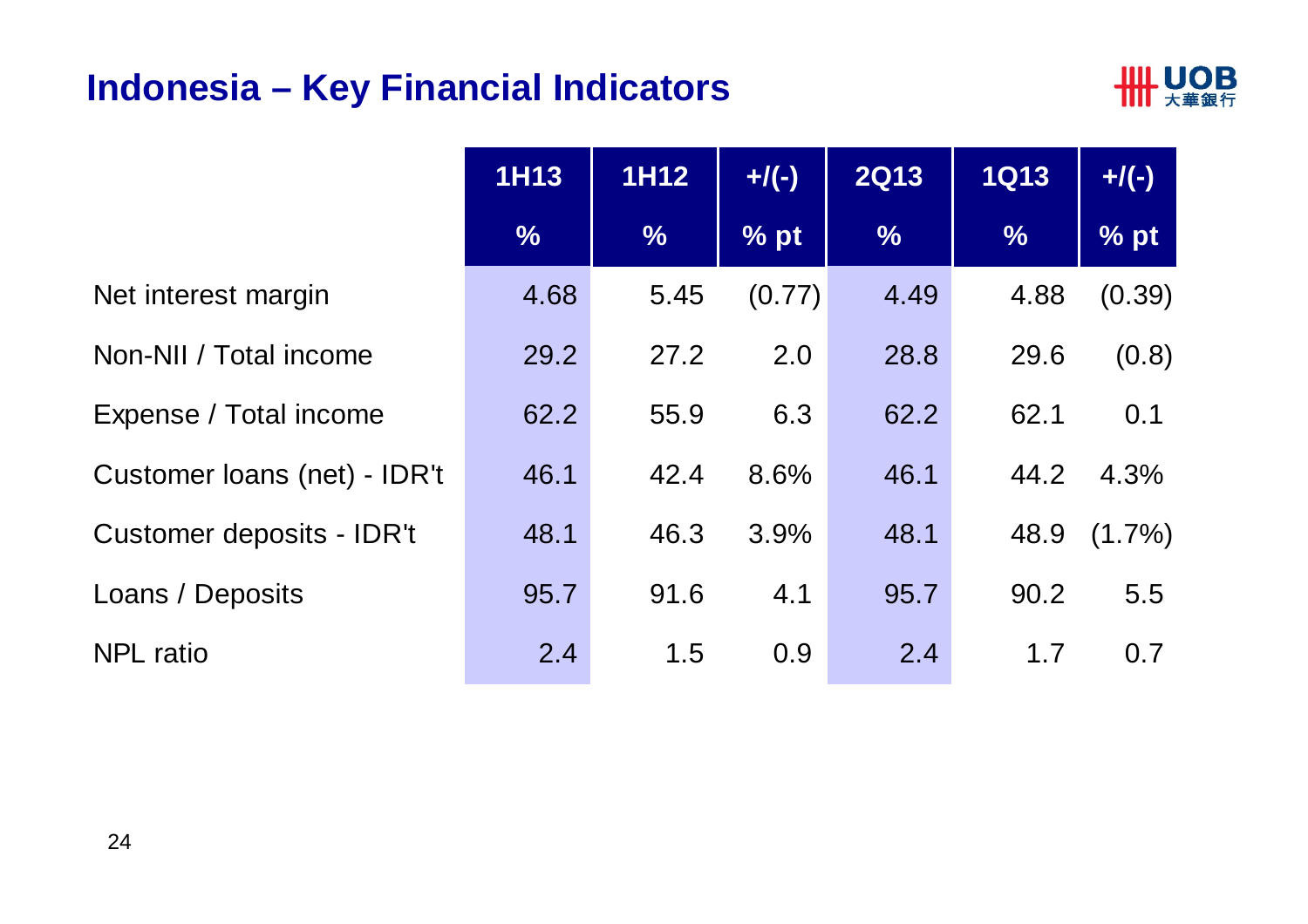#### **Indonesia – Key Financial Indicators**



|                              | <b>1H13</b>   | <b>1H12</b>   | $+$ /(-) | <b>2Q13</b>   | <b>1Q13</b>   | $+$ /(-)  |
|------------------------------|---------------|---------------|----------|---------------|---------------|-----------|
|                              | $\frac{9}{6}$ | $\frac{0}{6}$ | % pt     | $\frac{9}{6}$ | $\frac{0}{0}$ | % pt      |
| Net interest margin          | 4.68          | 5.45          | (0.77)   | 4.49          | 4.88          | (0.39)    |
| Non-NII / Total income       | 29.2          | 27.2          | 2.0      | 28.8          | 29.6          | (0.8)     |
| Expense / Total income       | 62.2          | 55.9          | 6.3      | 62.2          | 62.1          | 0.1       |
| Customer loans (net) - IDR't | 46.1          | 42.4          | 8.6%     | 46.1          | 44.2          | 4.3%      |
| Customer deposits - IDR't    | 48.1          | 46.3          | 3.9%     | 48.1          | 48.9          | $(1.7\%)$ |
| Loans / Deposits             | 95.7          | 91.6          | 4.1      | 95.7          | 90.2          | 5.5       |
| <b>NPL</b> ratio             | 2.4           | 1.5           | 0.9      | 2.4           | 1.7           | 0.7       |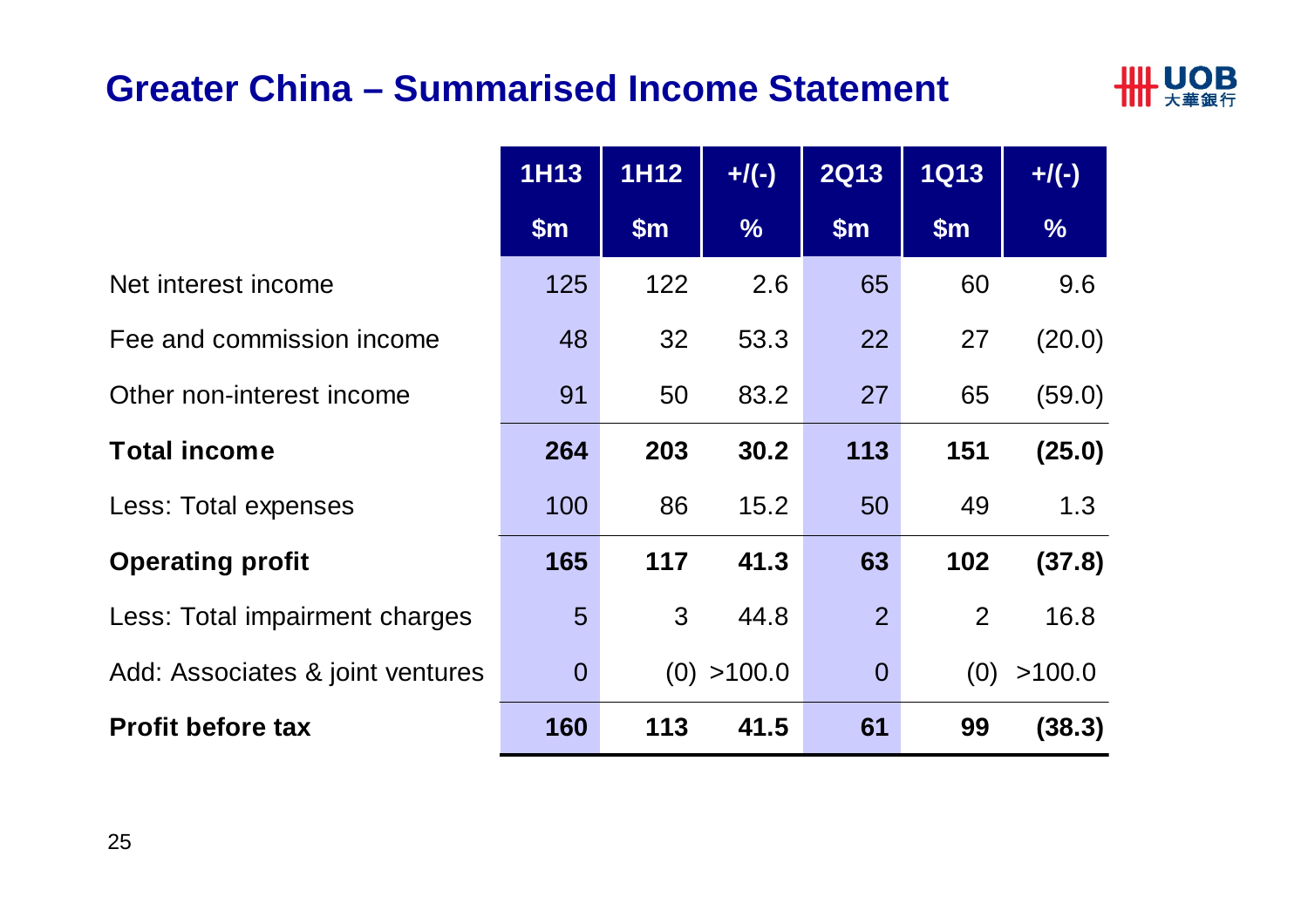#### **Greater China – Summarised Income Statement**



|                                  | <b>1H13</b>    | <b>1H12</b> | $+$ /(-)      | <b>2Q13</b>    | <b>1Q13</b> | $+$ /(-)      |
|----------------------------------|----------------|-------------|---------------|----------------|-------------|---------------|
|                                  | $\mathsf{Sm}$  | \$m\$       | $\frac{9}{6}$ | \$m\$          | \$m\$       | $\frac{9}{6}$ |
| Net interest income              | 125            | 122         | 2.6           | 65             | 60          | 9.6           |
| Fee and commission income        | 48             | 32          | 53.3          | 22             | 27          | (20.0)        |
| Other non-interest income        | 91             | 50          | 83.2          | 27             | 65          | (59.0)        |
| <b>Total income</b>              | 264            | 203         | 30.2          | 113            | 151         | (25.0)        |
| Less: Total expenses             | 100            | 86          | 15.2          | 50             | 49          | 1.3           |
| <b>Operating profit</b>          | 165            | 117         | 41.3          | 63             | 102         | (37.8)        |
| Less: Total impairment charges   | 5              | 3           | 44.8          | $\overline{2}$ | 2           | 16.8          |
| Add: Associates & joint ventures | $\overline{0}$ |             | (0) > 100.0   | $\overline{0}$ | (0)         | >100.0        |
| <b>Profit before tax</b>         | 160            | 113         | 41.5          | 61             | 99          | (38.3)        |